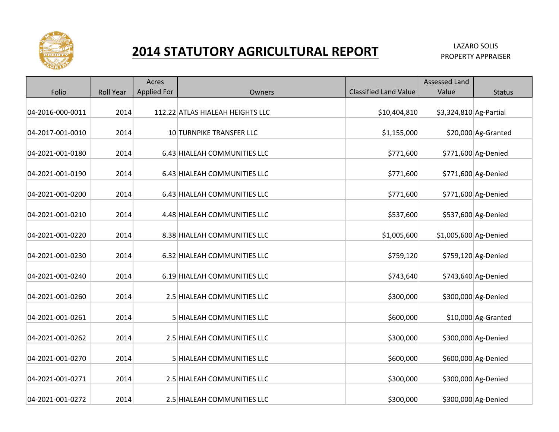

## **2014 STATUTORY AGRICULTURAL REPORT EXALL ALAZARO SOLIS**

|                  |                  | Acres              |                                  |                              | Assessed Land          |                     |
|------------------|------------------|--------------------|----------------------------------|------------------------------|------------------------|---------------------|
| Folio            | <b>Roll Year</b> | <b>Applied For</b> | Owners                           | <b>Classified Land Value</b> | Value                  | <b>Status</b>       |
|                  |                  |                    |                                  |                              |                        |                     |
| 04-2016-000-0011 | 2014             |                    | 112.22 ATLAS HIALEAH HEIGHTS LLC | \$10,404,810                 | \$3,324,810 Ag-Partial |                     |
|                  |                  |                    |                                  |                              |                        |                     |
| 04-2017-001-0010 | 2014             |                    | 10 TURNPIKE TRANSFER LLC         | \$1,155,000                  |                        | \$20,000 Ag-Granted |
|                  |                  |                    |                                  |                              |                        |                     |
| 04-2021-001-0180 | 2014             |                    | 6.43 HIALEAH COMMUNITIES LLC     | \$771,600                    |                        | \$771,600 Ag-Denied |
| 04-2021-001-0190 | 2014             |                    | 6.43 HIALEAH COMMUNITIES LLC     | \$771,600                    |                        | \$771,600 Ag-Denied |
|                  |                  |                    |                                  |                              |                        |                     |
| 04-2021-001-0200 | 2014             |                    | 6.43 HIALEAH COMMUNITIES LLC     | \$771,600                    |                        | \$771,600 Ag-Denied |
|                  |                  |                    |                                  |                              |                        |                     |
| 04-2021-001-0210 | 2014             |                    | 4.48 HIALEAH COMMUNITIES LLC     | \$537,600                    |                        | \$537,600 Ag-Denied |
|                  |                  |                    |                                  |                              |                        |                     |
| 04-2021-001-0220 | 2014             |                    | 8.38 HIALEAH COMMUNITIES LLC     | \$1,005,600                  | \$1,005,600 Ag-Denied  |                     |
|                  |                  |                    |                                  |                              |                        |                     |
| 04-2021-001-0230 | 2014             |                    | 6.32 HIALEAH COMMUNITIES LLC     | \$759,120                    |                        | \$759,120 Ag-Denied |
| 04-2021-001-0240 | 2014             |                    | 6.19 HIALEAH COMMUNITIES LLC     | \$743,640                    |                        | \$743,640 Ag-Denied |
|                  |                  |                    |                                  |                              |                        |                     |
| 04-2021-001-0260 | 2014             |                    | 2.5 HIALEAH COMMUNITIES LLC      | \$300,000                    |                        | \$300,000 Ag-Denied |
|                  |                  |                    |                                  |                              |                        |                     |
| 04-2021-001-0261 | 2014             |                    | 5 HIALEAH COMMUNITIES LLC        | \$600,000                    |                        | \$10,000 Ag-Granted |
|                  |                  |                    |                                  |                              |                        |                     |
| 04-2021-001-0262 | 2014             |                    | 2.5 HIALEAH COMMUNITIES LLC      | \$300,000                    |                        | \$300,000 Ag-Denied |
|                  |                  |                    |                                  |                              |                        |                     |
| 04-2021-001-0270 | 2014             |                    | 5 HIALEAH COMMUNITIES LLC        | \$600,000                    |                        | \$600,000 Ag-Denied |
| 04-2021-001-0271 | 2014             |                    | 2.5 HIALEAH COMMUNITIES LLC      | \$300,000                    |                        | \$300,000 Ag-Denied |
|                  |                  |                    |                                  |                              |                        |                     |
| 04-2021-001-0272 | 2014             |                    | 2.5 HIALEAH COMMUNITIES LLC      | \$300,000                    |                        | \$300,000 Ag-Denied |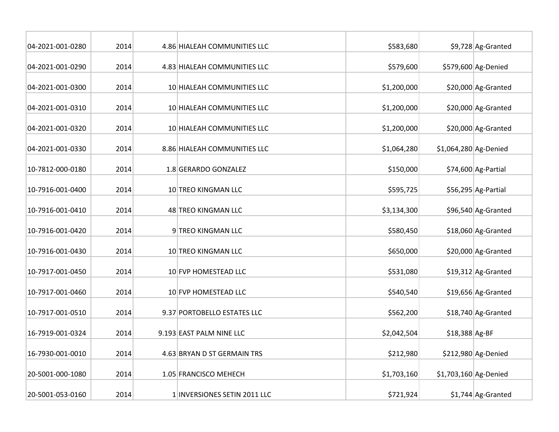| 04-2021-001-0280 | 2014 | 4.86 HIALEAH COMMUNITIES LLC | \$583,680   |                       | \$9,728 Ag-Granted  |
|------------------|------|------------------------------|-------------|-----------------------|---------------------|
| 04-2021-001-0290 | 2014 | 4.83 HIALEAH COMMUNITIES LLC | \$579,600   |                       | \$579,600 Ag-Denied |
| 04-2021-001-0300 | 2014 | 10 HIALEAH COMMUNITIES LLC   | \$1,200,000 |                       | \$20,000 Ag-Granted |
| 04-2021-001-0310 | 2014 | 10 HIALEAH COMMUNITIES LLC   | \$1,200,000 |                       | \$20,000 Ag-Granted |
| 04-2021-001-0320 | 2014 | 10 HIALEAH COMMUNITIES LLC   | \$1,200,000 |                       | \$20,000 Ag-Granted |
| 04-2021-001-0330 | 2014 | 8.86 HIALEAH COMMUNITIES LLC | \$1,064,280 | \$1,064,280 Ag-Denied |                     |
| 10-7812-000-0180 | 2014 | 1.8 GERARDO GONZALEZ         | \$150,000   |                       | \$74,600 Ag-Partial |
| 10-7916-001-0400 | 2014 | 10 TREO KINGMAN LLC          | \$595,725   |                       | \$56,295 Ag-Partial |
| 10-7916-001-0410 | 2014 | 48 TREO KINGMAN LLC          | \$3,134,300 |                       | \$96,540 Ag-Granted |
| 10-7916-001-0420 | 2014 | 9 TREO KINGMAN LLC           | \$580,450   |                       | \$18,060 Ag-Granted |
| 10-7916-001-0430 | 2014 | 10 TREO KINGMAN LLC          | \$650,000   |                       | \$20,000 Ag-Granted |
| 10-7917-001-0450 | 2014 | 10 FVP HOMESTEAD LLC         | \$531,080   |                       | \$19,312 Ag-Granted |
| 10-7917-001-0460 | 2014 | 10 FVP HOMESTEAD LLC         | \$540,540   |                       | \$19,656 Ag-Granted |
| 10-7917-001-0510 | 2014 | 9.37 PORTOBELLO ESTATES LLC  | \$562,200   |                       | \$18,740 Ag-Granted |
| 16-7919-001-0324 | 2014 | 9.193 EAST PALM NINE LLC     | \$2,042,504 | \$18,388 Ag-BF        |                     |
| 16-7930-001-0010 | 2014 | 4.63 BRYAN D ST GERMAIN TRS  | \$212,980   |                       | \$212,980 Ag-Denied |
| 20-5001-000-1080 | 2014 | 1.05 FRANCISCO MEHECH        | \$1,703,160 | \$1,703,160 Ag-Denied |                     |
| 20-5001-053-0160 | 2014 | 1 INVERSIONES SETIN 2011 LLC | \$721,924   |                       | \$1,744 Ag-Granted  |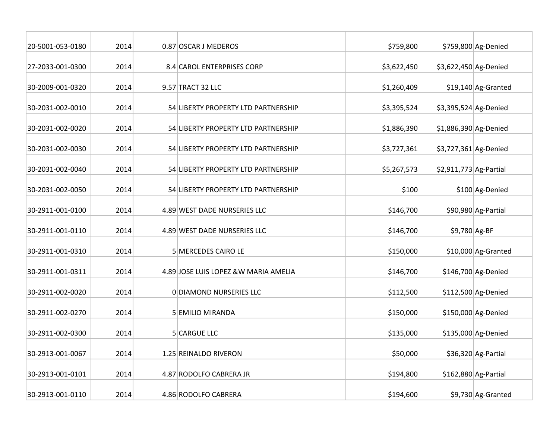| 20-5001-053-0180 | 2014 | 0.87 OSCAR J MEDEROS                  | \$759,800   |                         | \$759,800 Ag-Denied   |
|------------------|------|---------------------------------------|-------------|-------------------------|-----------------------|
| 27-2033-001-0300 | 2014 | 8.4 CAROL ENTERPRISES CORP            | \$3,622,450 | \$3,622,450 Ag-Denied   |                       |
| 30-2009-001-0320 | 2014 | 9.57 TRACT 32 LLC                     | \$1,260,409 |                         | $$19,140$ Ag-Granted  |
| 30-2031-002-0010 | 2014 | 54 LIBERTY PROPERTY LTD PARTNERSHIP   | \$3,395,524 | \$3,395,524 Ag-Denied   |                       |
| 30-2031-002-0020 | 2014 | 54 LIBERTY PROPERTY LTD PARTNERSHIP   | \$1,886,390 | \$1,886,390 Ag-Denied   |                       |
| 30-2031-002-0030 | 2014 | 54 LIBERTY PROPERTY LTD PARTNERSHIP   | \$3,727,361 | \$3,727,361 Ag-Denied   |                       |
| 30-2031-002-0040 | 2014 | 54 LIBERTY PROPERTY LTD PARTNERSHIP   | \$5,267,573 | $$2,911,773$ Ag-Partial |                       |
| 30-2031-002-0050 | 2014 | 54 LIBERTY PROPERTY LTD PARTNERSHIP   | \$100       |                         | \$100 Ag-Denied       |
| 30-2911-001-0100 | 2014 | 4.89 WEST DADE NURSERIES LLC          | \$146,700   |                         | \$90,980 Ag-Partial   |
| 30-2911-001-0110 | 2014 | 4.89 WEST DADE NURSERIES LLC          | \$146,700   | \$9,780 Ag-BF           |                       |
| 30-2911-001-0310 | 2014 | 5 MERCEDES CAIRO LE                   | \$150,000   |                         | \$10,000 Ag-Granted   |
| 30-2911-001-0311 | 2014 | 4.89 JOSE LUIS LOPEZ & W MARIA AMELIA | \$146,700   |                         | \$146,700 Ag-Denied   |
| 30-2911-002-0020 | 2014 | 0 DIAMOND NURSERIES LLC               | \$112,500   |                         | \$112,500 Ag-Denied   |
| 30-2911-002-0270 | 2014 | 5 EMILIO MIRANDA                      | \$150,000   |                         | \$150,000 Ag-Denied   |
| 30-2911-002-0300 | 2014 | 5 CARGUE LLC                          | \$135,000   |                         | \$135,000 Ag-Denied   |
| 30-2913-001-0067 | 2014 | 1.25 REINALDO RIVERON                 | \$50,000    |                         | \$36,320 Ag-Partial   |
| 30-2913-001-0101 | 2014 | 4.87 RODOLFO CABRERA JR               | \$194,800   |                         | $$162,880$ Ag-Partial |
| 30-2913-001-0110 | 2014 | 4.86 RODOLFO CABRERA                  | \$194,600   |                         | \$9,730 Ag-Granted    |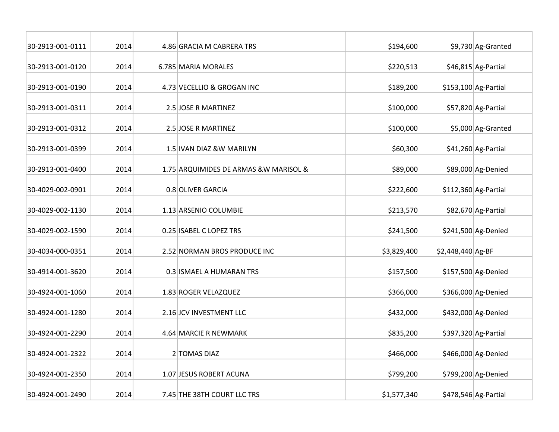| 30-2913-001-0111 | 2014 | 4.86 GRACIA M CABRERA TRS              | \$194,600   |                   | \$9,730 Ag-Granted    |
|------------------|------|----------------------------------------|-------------|-------------------|-----------------------|
| 30-2913-001-0120 | 2014 | 6.785 MARIA MORALES                    | \$220,513   |                   | \$46,815 Ag-Partial   |
| 30-2913-001-0190 | 2014 | 4.73 VECELLIO & GROGAN INC             | \$189,200   |                   | $$153,100$ Ag-Partial |
| 30-2913-001-0311 | 2014 | 2.5 JOSE R MARTINEZ                    | \$100,000   |                   | \$57,820 Ag-Partial   |
| 30-2913-001-0312 | 2014 | 2.5 JOSE R MARTINEZ                    | \$100,000   |                   | \$5,000 Ag-Granted    |
| 30-2913-001-0399 | 2014 | 1.5 IVAN DIAZ &W MARILYN               | \$60,300    |                   | \$41,260 Ag-Partial   |
| 30-2913-001-0400 | 2014 | 1.75 ARQUIMIDES DE ARMAS & W MARISOL & | \$89,000    |                   | \$89,000 Ag-Denied    |
| 30-4029-002-0901 | 2014 | 0.8 OLIVER GARCIA                      | \$222,600   |                   | $$112,360$ Ag-Partial |
| 30-4029-002-1130 | 2014 | 1.13 ARSENIO COLUMBIE                  | \$213,570   |                   | \$82,670 Ag-Partial   |
| 30-4029-002-1590 | 2014 | 0.25 ISABEL C LOPEZ TRS                | \$241,500   |                   | \$241,500 Ag-Denied   |
| 30-4034-000-0351 | 2014 | 2.52 NORMAN BROS PRODUCE INC           | \$3,829,400 | \$2,448,440 Ag-BF |                       |
| 30-4914-001-3620 | 2014 | 0.3 ISMAEL A HUMARAN TRS               | \$157,500   |                   | \$157,500 Ag-Denied   |
| 30-4924-001-1060 | 2014 | 1.83 ROGER VELAZQUEZ                   | \$366,000   |                   | \$366,000 Ag-Denied   |
| 30-4924-001-1280 | 2014 | 2.16 JCV INVESTMENT LLC                | \$432,000   |                   | \$432,000 Ag-Denied   |
| 30-4924-001-2290 | 2014 | 4.64 MARCIE R NEWMARK                  | \$835,200   |                   | $$397,320$ Ag-Partial |
| 30-4924-001-2322 | 2014 | 2 TOMAS DIAZ                           | \$466,000   |                   | \$466,000 Ag-Denied   |
| 30-4924-001-2350 | 2014 | 1.07 JESUS ROBERT ACUNA                | \$799,200   |                   | \$799,200 Ag-Denied   |
| 30-4924-001-2490 | 2014 | 7.45 THE 38TH COURT LLC TRS            | \$1,577,340 |                   | $$478,546$ Ag-Partial |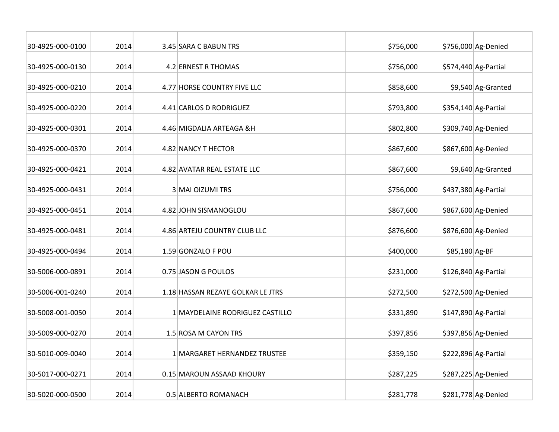| 30-4925-000-0100 | 2014 | 3.45 SARA C BABUN TRS             | \$756,000 |                | \$756,000 Ag-Denied   |
|------------------|------|-----------------------------------|-----------|----------------|-----------------------|
| 30-4925-000-0130 | 2014 | 4.2 ERNEST R THOMAS               | \$756,000 |                | \$574,440 Ag-Partial  |
| 30-4925-000-0210 | 2014 | 4.77 HORSE COUNTRY FIVE LLC       | \$858,600 |                | \$9,540 Ag-Granted    |
| 30-4925-000-0220 | 2014 | 4.41 CARLOS D RODRIGUEZ           | \$793,800 |                | $$354,140$ Ag-Partial |
| 30-4925-000-0301 | 2014 | 4.46 MIGDALIA ARTEAGA &H          | \$802,800 |                | \$309,740 Ag-Denied   |
| 30-4925-000-0370 | 2014 | 4.82 NANCY T HECTOR               | \$867,600 |                | \$867,600 Ag-Denied   |
| 30-4925-000-0421 | 2014 | 4.82 AVATAR REAL ESTATE LLC       | \$867,600 |                | \$9,640 Ag-Granted    |
| 30-4925-000-0431 | 2014 | 3 MAI OIZUMI TRS                  | \$756,000 |                | \$437,380 Ag-Partial  |
| 30-4925-000-0451 | 2014 | 4.82 JOHN SISMANOGLOU             | \$867,600 |                | \$867,600 Ag-Denied   |
| 30-4925-000-0481 | 2014 | 4.86 ARTEJU COUNTRY CLUB LLC      | \$876,600 |                | \$876,600 Ag-Denied   |
| 30-4925-000-0494 | 2014 | 1.59 GONZALO F POU                | \$400,000 | \$85,180 Ag-BF |                       |
| 30-5006-000-0891 | 2014 | 0.75 JASON G POULOS               | \$231,000 |                | $$126,840$ Ag-Partial |
| 30-5006-001-0240 | 2014 | 1.18 HASSAN REZAYE GOLKAR LE JTRS | \$272,500 |                | \$272,500 Ag-Denied   |
| 30-5008-001-0050 | 2014 | 1 MAYDELAINE RODRIGUEZ CASTILLO   | \$331,890 |                | $$147,890$ Ag-Partial |
| 30-5009-000-0270 | 2014 | 1.5 ROSA M CAYON TRS              | \$397,856 |                | \$397,856 Ag-Denied   |
| 30-5010-009-0040 | 2014 | 1 MARGARET HERNANDEZ TRUSTEE      | \$359,150 |                | $$222,896$ Ag-Partial |
| 30-5017-000-0271 | 2014 | 0.15 MAROUN ASSAAD KHOURY         | \$287,225 |                | \$287,225 Ag-Denied   |
| 30-5020-000-0500 | 2014 | 0.5 ALBERTO ROMANACH              | \$281,778 |                | \$281,778 Ag-Denied   |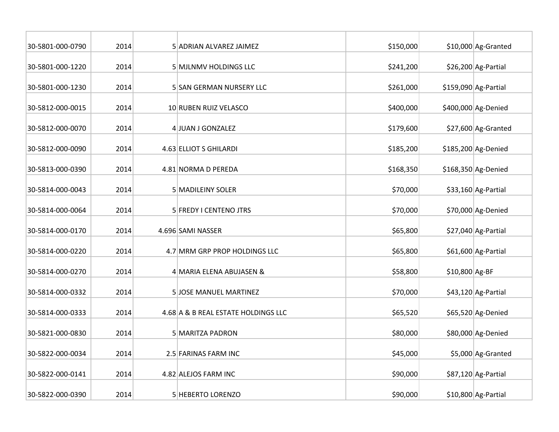| 30-5801-000-0790 | 2014 | 5 ADRIAN ALVAREZ JAIMEZ             | \$150,000 |                | \$10,000 Ag-Granted  |
|------------------|------|-------------------------------------|-----------|----------------|----------------------|
| 30-5801-000-1220 | 2014 | 5 MJLNMV HOLDINGS LLC               | \$241,200 |                | \$26,200 Ag-Partial  |
| 30-5801-000-1230 | 2014 | 5 SAN GERMAN NURSERY LLC            | \$261,000 |                | \$159,090 Ag-Partial |
| 30-5812-000-0015 | 2014 | 10 RUBEN RUIZ VELASCO               | \$400,000 |                | \$400,000 Ag-Denied  |
| 30-5812-000-0070 | 2014 | 4 JUAN J GONZALEZ                   | \$179,600 |                | \$27,600 Ag-Granted  |
| 30-5812-000-0090 | 2014 | 4.63 ELLIOT S GHILARDI              | \$185,200 |                | \$185,200 Ag-Denied  |
| 30-5813-000-0390 | 2014 | 4.81 NORMA D PEREDA                 | \$168,350 |                | \$168,350 Ag-Denied  |
| 30-5814-000-0043 | 2014 | 5 MADILEINY SOLER                   | \$70,000  |                | $$33,160$ Ag-Partial |
| 30-5814-000-0064 | 2014 | 5 FREDY I CENTENO JTRS              | \$70,000  |                | \$70,000 Ag-Denied   |
| 30-5814-000-0170 | 2014 | 4.696 SAMI NASSER                   | \$65,800  |                | \$27,040 Ag-Partial  |
| 30-5814-000-0220 | 2014 | 4.7 MRM GRP PROP HOLDINGS LLC       | \$65,800  |                | \$61,600 Ag-Partial  |
| 30-5814-000-0270 | 2014 | 4 MARIA ELENA ABUJASEN &            | \$58,800  | \$10,800 Ag-BF |                      |
| 30-5814-000-0332 | 2014 | 5 JOSE MANUEL MARTINEZ              | \$70,000  |                | $$43,120$ Ag-Partial |
| 30-5814-000-0333 | 2014 | 4.68 A & B REAL ESTATE HOLDINGS LLC | \$65,520  |                | \$65,520 Ag-Denied   |
| 30-5821-000-0830 | 2014 | 5 MARITZA PADRON                    | \$80,000  |                | \$80,000 Ag-Denied   |
| 30-5822-000-0034 | 2014 | 2.5 FARINAS FARM INC                | \$45,000  |                | \$5,000 Ag-Granted   |
| 30-5822-000-0141 | 2014 | 4.82 ALEJOS FARM INC                | \$90,000  |                | \$87,120 Ag-Partial  |
| 30-5822-000-0390 | 2014 | 5 HEBERTO LORENZO                   | \$90,000  |                | $$10,800$ Ag-Partial |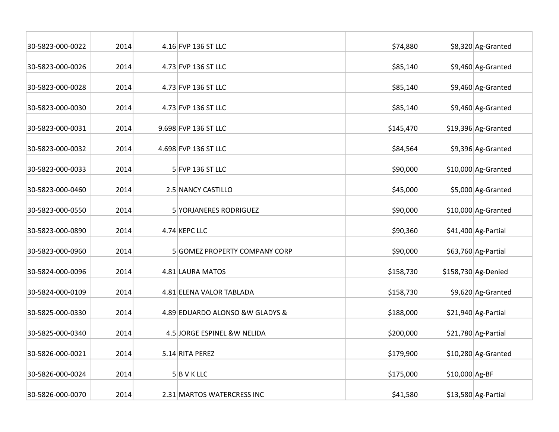| 30-5823-000-0022 | 2014 | 4.16 FVP 136 ST LLC              | \$74,880  |                | \$8,320 Ag-Granted  |
|------------------|------|----------------------------------|-----------|----------------|---------------------|
| 30-5823-000-0026 | 2014 | 4.73 FVP 136 ST LLC              | \$85,140  |                | \$9,460 Ag-Granted  |
| 30-5823-000-0028 | 2014 | 4.73 FVP 136 ST LLC              | \$85,140  |                | \$9,460 Ag-Granted  |
| 30-5823-000-0030 | 2014 | 4.73 FVP 136 ST LLC              | \$85,140  |                | \$9,460 Ag-Granted  |
| 30-5823-000-0031 | 2014 | 9.698 FVP 136 ST LLC             | \$145,470 |                | \$19,396 Ag-Granted |
| 30-5823-000-0032 | 2014 | 4.698 FVP 136 ST LLC             | \$84,564  |                | \$9,396 Ag-Granted  |
| 30-5823-000-0033 | 2014 | 5 FVP 136 ST LLC                 | \$90,000  |                | \$10,000 Ag-Granted |
| 30-5823-000-0460 | 2014 | 2.5 NANCY CASTILLO               | \$45,000  |                | \$5,000 Ag-Granted  |
| 30-5823-000-0550 | 2014 | 5 YORJANERES RODRIGUEZ           | \$90,000  |                | \$10,000 Ag-Granted |
| 30-5823-000-0890 | 2014 | 4.74 KEPC LLC                    | \$90,360  |                | \$41,400 Ag-Partial |
| 30-5823-000-0960 | 2014 | 5 GOMEZ PROPERTY COMPANY CORP    | \$90,000  |                | \$63,760 Ag-Partial |
| 30-5824-000-0096 | 2014 | 4.81 LAURA MATOS                 | \$158,730 |                | \$158,730 Ag-Denied |
| 30-5824-000-0109 | 2014 | 4.81 ELENA VALOR TABLADA         | \$158,730 |                | \$9,620 Ag-Granted  |
| 30-5825-000-0330 | 2014 | 4.89 EDUARDO ALONSO & W GLADYS & | \$188,000 |                | \$21,940 Ag-Partial |
| 30-5825-000-0340 | 2014 | 4.5 JORGE ESPINEL &W NELIDA      | \$200,000 |                | \$21,780 Ag-Partial |
| 30-5826-000-0021 | 2014 | 5.14 RITA PEREZ                  | \$179,900 |                | \$10,280 Ag-Granted |
| 30-5826-000-0024 | 2014 | $5$ B V K LLC                    | \$175,000 | \$10,000 Ag-BF |                     |
| 30-5826-000-0070 | 2014 | 2.31 MARTOS WATERCRESS INC       | \$41,580  |                | \$13,580 Ag-Partial |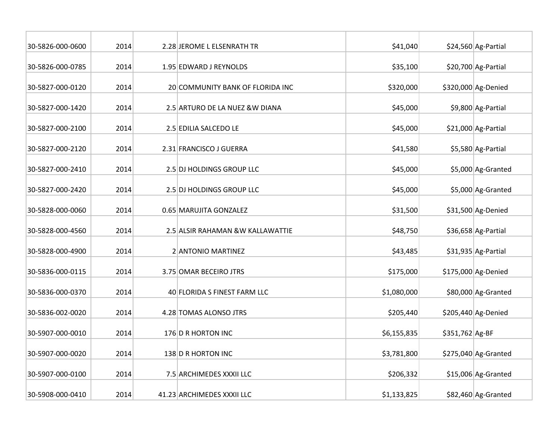| 30-5826-000-0600 | 2014 | 2.28 JEROME L ELSENRATH TR       | \$41,040    |                 | \$24,560 Ag-Partial   |
|------------------|------|----------------------------------|-------------|-----------------|-----------------------|
| 30-5826-000-0785 | 2014 | 1.95 EDWARD J REYNOLDS           | \$35,100    |                 | \$20,700 Ag-Partial   |
| 30-5827-000-0120 | 2014 | 20 COMMUNITY BANK OF FLORIDA INC | \$320,000   |                 | \$320,000 Ag-Denied   |
| 30-5827-000-1420 | 2014 | 2.5 ARTURO DE LA NUEZ & W DIANA  | \$45,000    |                 | \$9,800 Ag-Partial    |
| 30-5827-000-2100 | 2014 | 2.5 EDILIA SALCEDO LE            | \$45,000    |                 | \$21,000 Ag-Partial   |
| 30-5827-000-2120 | 2014 | 2.31 FRANCISCO J GUERRA          | \$41,580    |                 | \$5,580 Ag-Partial    |
| 30-5827-000-2410 | 2014 | 2.5 DJ HOLDINGS GROUP LLC        | \$45,000    |                 | \$5,000 Ag-Granted    |
| 30-5827-000-2420 | 2014 | 2.5 DJ HOLDINGS GROUP LLC        | \$45,000    |                 | \$5,000 Ag-Granted    |
| 30-5828-000-0060 | 2014 | 0.65 MARUJITA GONZALEZ           | \$31,500    |                 | \$31,500 Ag-Denied    |
| 30-5828-000-4560 | 2014 | 2.5 ALSIR RAHAMAN &W KALLAWATTIE | \$48,750    |                 | \$36,658 Ag-Partial   |
| 30-5828-000-4900 | 2014 | 2 ANTONIO MARTINEZ               | \$43,485    |                 | \$31,935 Ag-Partial   |
| 30-5836-000-0115 | 2014 | 3.75 OMAR BECEIRO JTRS           | \$175,000   |                 | \$175,000 Ag-Denied   |
| 30-5836-000-0370 | 2014 | 40 FLORIDA S FINEST FARM LLC     | \$1,080,000 |                 | \$80,000 Ag-Granted   |
| 30-5836-002-0020 | 2014 | 4.28 TOMAS ALONSO JTRS           | \$205,440   |                 | \$205,440 Ag-Denied   |
| 30-5907-000-0010 | 2014 | 176 D R HORTON INC               | \$6,155,835 | \$351,762 Ag-BF |                       |
| 30-5907-000-0020 | 2014 | 138 D R HORTON INC               | \$3,781,800 |                 | $$275,040$ Ag-Granted |
| 30-5907-000-0100 | 2014 | 7.5 ARCHIMEDES XXXII LLC         | \$206,332   |                 | \$15,006 Ag-Granted   |
| 30-5908-000-0410 | 2014 | 41.23 ARCHIMEDES XXXII LLC       | \$1,133,825 |                 | \$82,460 Ag-Granted   |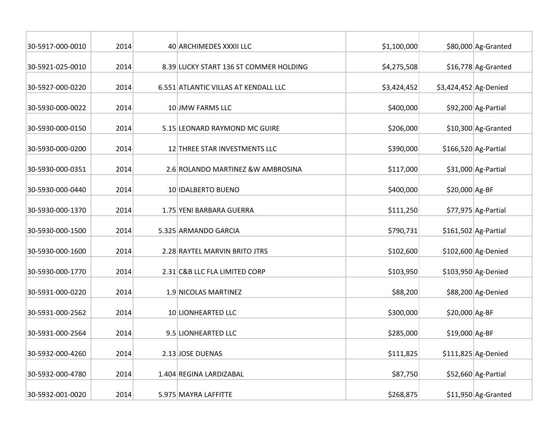| 30-5917-000-0010 | 2014 | 40 ARCHIMEDES XXXII LLC                | \$1,100,000 |                       | \$80,000 Ag-Granted   |
|------------------|------|----------------------------------------|-------------|-----------------------|-----------------------|
| 30-5921-025-0010 | 2014 | 8.39 LUCKY START 136 ST COMMER HOLDING | \$4,275,508 |                       | \$16,778 Ag-Granted   |
| 30-5927-000-0220 | 2014 | 6.551 ATLANTIC VILLAS AT KENDALL LLC   | \$3,424,452 | \$3,424,452 Ag-Denied |                       |
| 30-5930-000-0022 | 2014 | 10 JMW FARMS LLC                       | \$400,000   |                       | \$92,200 Ag-Partial   |
| 30-5930-000-0150 | 2014 | 5.15 LEONARD RAYMOND MC GUIRE          | \$206,000   |                       | \$10,300 Ag-Granted   |
| 30-5930-000-0200 | 2014 | 12 THREE STAR INVESTMENTS LLC          | \$390,000   |                       | $$166,520$ Ag-Partial |
| 30-5930-000-0351 | 2014 | 2.6 ROLANDO MARTINEZ & W AMBROSINA     | \$117,000   |                       | \$31,000 Ag-Partial   |
| 30-5930-000-0440 | 2014 | 10 IDALBERTO BUENO                     | \$400,000   | \$20,000 Ag-BF        |                       |
| 30-5930-000-1370 | 2014 | 1.75 YENI BARBARA GUERRA               | \$111,250   |                       | \$77,975 Ag-Partial   |
| 30-5930-000-1500 | 2014 | 5.325 ARMANDO GARCIA                   | \$790,731   |                       | $$161,502$ Ag-Partial |
| 30-5930-000-1600 | 2014 | 2.28 RAYTEL MARVIN BRITO JTRS          | \$102,600   |                       | \$102,600 Ag-Denied   |
| 30-5930-000-1770 | 2014 | 2.31 C&B LLC FLA LIMITED CORP          | \$103,950   |                       | \$103,950 Ag-Denied   |
| 30-5931-000-0220 | 2014 | 1.9 NICOLAS MARTINEZ                   | \$88,200    |                       | \$88,200 Ag-Denied    |
| 30-5931-000-2562 | 2014 | 10 LIONHEARTED LLC                     | \$300,000   | \$20,000 Ag-BF        |                       |
| 30-5931-000-2564 | 2014 | 9.5 LIONHEARTED LLC                    | \$285,000   | \$19,000 Ag-BF        |                       |
| 30-5932-000-4260 | 2014 | 2.13 JOSE DUENAS                       | \$111,825   |                       | $$111,825$ Ag-Denied  |
| 30-5932-000-4780 | 2014 | 1.404 REGINA LARDIZABAL                | \$87,750    |                       | \$52,660 Ag-Partial   |
| 30-5932-001-0020 | 2014 | 5.975 MAYRA LAFFITTE                   | \$268,875   |                       | \$11,950 Ag-Granted   |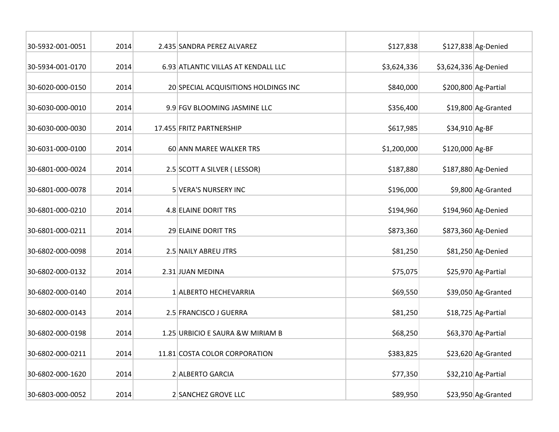| 30-5932-001-0051 | 2014 | 2.435 SANDRA PEREZ ALVAREZ           | \$127,838   |                       | \$127,838 Ag-Denied   |
|------------------|------|--------------------------------------|-------------|-----------------------|-----------------------|
| 30-5934-001-0170 | 2014 | 6.93 ATLANTIC VILLAS AT KENDALL LLC  | \$3,624,336 | \$3,624,336 Ag-Denied |                       |
| 30-6020-000-0150 | 2014 | 20 SPECIAL ACQUISITIONS HOLDINGS INC | \$840,000   |                       | $$200,800$ Ag-Partial |
| 30-6030-000-0010 | 2014 | 9.9 FGV BLOOMING JASMINE LLC         | \$356,400   |                       | \$19,800 Ag-Granted   |
| 30-6030-000-0030 | 2014 | 17.455 FRITZ PARTNERSHIP             | \$617,985   | \$34,910 Ag-BF        |                       |
| 30-6031-000-0100 | 2014 | 60 ANN MAREE WALKER TRS              | \$1,200,000 | \$120,000 Ag-BF       |                       |
| 30-6801-000-0024 | 2014 | 2.5 SCOTT A SILVER (LESSOR)          | \$187,880   |                       | \$187,880 Ag-Denied   |
| 30-6801-000-0078 | 2014 | 5 VERA'S NURSERY INC                 | \$196,000   |                       | \$9,800 Ag-Granted    |
| 30-6801-000-0210 | 2014 | 4.8 ELAINE DORIT TRS                 | \$194,960   |                       | \$194,960 Ag-Denied   |
| 30-6801-000-0211 | 2014 | 29 ELAINE DORIT TRS                  | \$873,360   |                       | \$873,360 Ag-Denied   |
| 30-6802-000-0098 | 2014 | 2.5 NAILY ABREU JTRS                 | \$81,250    |                       | \$81,250 Ag-Denied    |
| 30-6802-000-0132 | 2014 | 2.31 JUAN MEDINA                     | \$75,075    |                       | \$25,970 Ag-Partial   |
| 30-6802-000-0140 | 2014 | 1 ALBERTO HECHEVARRIA                | \$69,550    |                       | \$39,050 Ag-Granted   |
| 30-6802-000-0143 | 2014 | 2.5 FRANCISCO J GUERRA               | \$81,250    |                       | \$18,725 Ag-Partial   |
| 30-6802-000-0198 | 2014 | 1.25 URBICIO E SAURA & W MIRIAM B    | \$68,250    |                       | \$63,370 Ag-Partial   |
| 30-6802-000-0211 | 2014 | 11.81 COSTA COLOR CORPORATION        | \$383,825   |                       | \$23,620 Ag-Granted   |
| 30-6802-000-1620 | 2014 | 2 ALBERTO GARCIA                     | \$77,350    |                       | \$32,210 Ag-Partial   |
| 30-6803-000-0052 | 2014 | 2 SANCHEZ GROVE LLC                  | \$89,950    |                       | \$23,950 Ag-Granted   |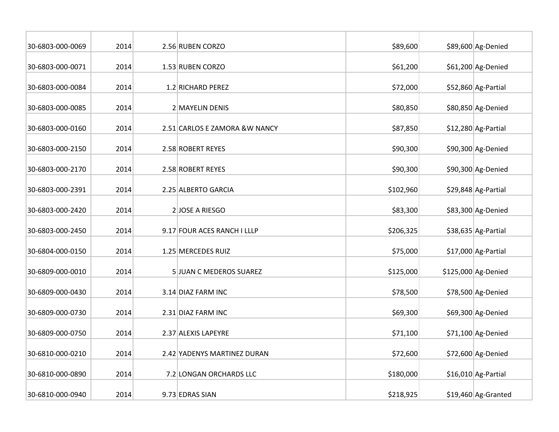| 30-6803-000-0069 | 2014 | 2.56 RUBEN CORZO               | \$89,600  | \$89,600 Ag-Denied   |
|------------------|------|--------------------------------|-----------|----------------------|
| 30-6803-000-0071 | 2014 | 1.53 RUBEN CORZO               | \$61,200  | \$61,200 Ag-Denied   |
| 30-6803-000-0084 | 2014 | 1.2 RICHARD PEREZ              | \$72,000  | \$52,860 Ag-Partial  |
| 30-6803-000-0085 | 2014 | 2 MAYELIN DENIS                | \$80,850  | \$80,850 Ag-Denied   |
| 30-6803-000-0160 | 2014 | 2.51 CARLOS E ZAMORA & W NANCY | \$87,850  | \$12,280 Ag-Partial  |
| 30-6803-000-2150 | 2014 | 2.58 ROBERT REYES              | \$90,300  | \$90,300 Ag-Denied   |
| 30-6803-000-2170 | 2014 | 2.58 ROBERT REYES              | \$90,300  | \$90,300 Ag-Denied   |
| 30-6803-000-2391 | 2014 | 2.25 ALBERTO GARCIA            | \$102,960 | \$29,848 Ag-Partial  |
| 30-6803-000-2420 | 2014 | 2JOSE A RIESGO                 | \$83,300  | \$83,300 Ag-Denied   |
| 30-6803-000-2450 | 2014 | 9.17 FOUR ACES RANCH I LLLP    | \$206,325 | \$38,635 Ag-Partial  |
| 30-6804-000-0150 | 2014 | 1.25 MERCEDES RUIZ             | \$75,000  | \$17,000 Ag-Partial  |
| 30-6809-000-0010 | 2014 | 5 JUAN C MEDEROS SUAREZ        | \$125,000 | \$125,000 Ag-Denied  |
| 30-6809-000-0430 | 2014 | 3.14 DIAZ FARM INC             | \$78,500  | \$78,500 Ag-Denied   |
| 30-6809-000-0730 | 2014 | 2.31 DIAZ FARM INC             | \$69,300  | \$69,300 Ag-Denied   |
| 30-6809-000-0750 | 2014 | 2.37 ALEXIS LAPEYRE            | \$71,100  | $$71,100$ Ag-Denied  |
| 30-6810-000-0210 | 2014 | 2.42 YADENYS MARTINEZ DURAN    | \$72,600  | \$72,600 Ag-Denied   |
| 30-6810-000-0890 | 2014 | 7.2 LONGAN ORCHARDS LLC        | \$180,000 | $$16,010$ Ag-Partial |
| 30-6810-000-0940 | 2014 | 9.73 EDRAS SIAN                | \$218,925 | \$19,460 Ag-Granted  |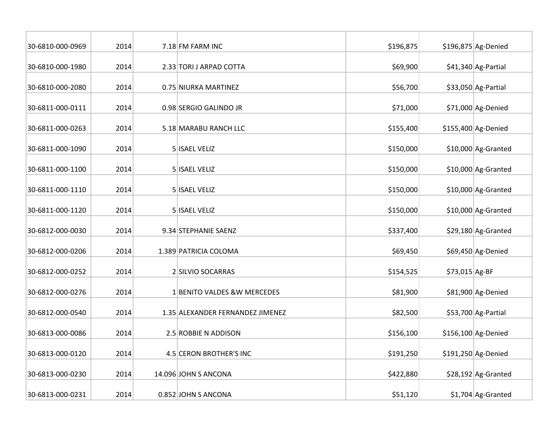| 30-6810-000-0969 | 2014 | 7.18 FM FARM INC                 | \$196,875 |                | \$196,875 Ag-Denied  |
|------------------|------|----------------------------------|-----------|----------------|----------------------|
| 30-6810-000-1980 | 2014 | 2.33 TORI J ARPAD COTTA          | \$69,900  |                | \$41,340 Ag-Partial  |
| 30-6810-000-2080 | 2014 | 0.75 NIURKA MARTINEZ             | \$56,700  |                | $$33,050$ Ag-Partial |
| 30-6811-000-0111 | 2014 | 0.98 SERGIO GALINDO JR           | \$71,000  |                | \$71,000 Ag-Denied   |
| 30-6811-000-0263 | 2014 | 5.18 MARABU RANCH LLC            | \$155,400 |                | \$155,400 Ag-Denied  |
| 30-6811-000-1090 | 2014 | 5 ISAEL VELIZ                    | \$150,000 |                | \$10,000 Ag-Granted  |
| 30-6811-000-1100 | 2014 | 5 ISAEL VELIZ                    | \$150,000 |                | \$10,000 Ag-Granted  |
| 30-6811-000-1110 | 2014 | 5 ISAEL VELIZ                    | \$150,000 |                | \$10,000 Ag-Granted  |
| 30-6811-000-1120 | 2014 | 5 ISAEL VELIZ                    | \$150,000 |                | $$10,000$ Ag-Granted |
| 30-6812-000-0030 | 2014 | 9.34 STEPHANIE SAENZ             | \$337,400 |                | $$29,180$ Ag-Granted |
| 30-6812-000-0206 | 2014 | 1.389 PATRICIA COLOMA            | \$69,450  |                | \$69,450 Ag-Denied   |
| 30-6812-000-0252 | 2014 | 2 SILVIO SOCARRAS                | \$154,525 | \$73,015 Ag-BF |                      |
| 30-6812-000-0276 | 2014 | 1 BENITO VALDES & W MERCEDES     | \$81,900  |                | \$81,900 Ag-Denied   |
| 30-6812-000-0540 | 2014 | 1.35 ALEXANDER FERNANDEZ JIMENEZ | \$82,500  |                | \$53,700 Ag-Partial  |
| 30-6813-000-0086 | 2014 | 2.5 ROBBIE N ADDISON             | \$156,100 |                | \$156,100 Ag-Denied  |
| 30-6813-000-0120 | 2014 | 4.5 CERON BROTHER'S INC          | \$191,250 |                | \$191,250 Ag-Denied  |
| 30-6813-000-0230 | 2014 | 14.096 JOHN S ANCONA             | \$422,880 |                | $$28,192$ Ag-Granted |
| 30-6813-000-0231 | 2014 | 0.852 JOHN S ANCONA              | \$51,120  |                | $$1,704$ Ag-Granted  |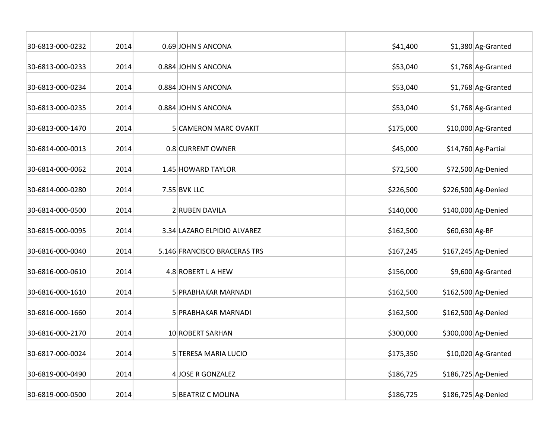| 30-6813-000-0232 | 2014 | 0.69 JOHN S ANCONA           | \$41,400  |                | \$1,380 Ag-Granted   |
|------------------|------|------------------------------|-----------|----------------|----------------------|
| 30-6813-000-0233 | 2014 | 0.884 JOHN S ANCONA          | \$53,040  |                | $$1,768$ Ag-Granted  |
| 30-6813-000-0234 | 2014 | 0.884 JOHN S ANCONA          | \$53,040  |                | \$1,768 Ag-Granted   |
| 30-6813-000-0235 | 2014 | 0.884 JOHN S ANCONA          | \$53,040  |                | $$1,768$ Ag-Granted  |
| 30-6813-000-1470 | 2014 | <b>5 CAMERON MARC OVAKIT</b> | \$175,000 |                | \$10,000 Ag-Granted  |
| 30-6814-000-0013 | 2014 | 0.8 CURRENT OWNER            | \$45,000  |                | \$14,760 Ag-Partial  |
| 30-6814-000-0062 | 2014 | 1.45 HOWARD TAYLOR           | \$72,500  |                | \$72,500 Ag-Denied   |
| 30-6814-000-0280 | 2014 | $7.55$ BVK LLC               | \$226,500 |                | \$226,500 Ag-Denied  |
| 30-6814-000-0500 | 2014 | 2 RUBEN DAVILA               | \$140,000 |                | \$140,000 Ag-Denied  |
| 30-6815-000-0095 | 2014 | 3.34 LAZARO ELPIDIO ALVAREZ  | \$162,500 | \$60,630 Ag-BF |                      |
| 30-6816-000-0040 | 2014 | 5.146 FRANCISCO BRACERAS TRS | \$167,245 |                | \$167,245 Ag-Denied  |
| 30-6816-000-0610 | 2014 | 4.8 ROBERT L A HEW           | \$156,000 |                | \$9,600 Ag-Granted   |
| 30-6816-000-1610 | 2014 | 5 PRABHAKAR MARNADI          | \$162,500 |                | \$162,500 Ag-Denied  |
| 30-6816-000-1660 | 2014 | 5 PRABHAKAR MARNADI          | \$162,500 |                | \$162,500 Ag-Denied  |
| 30-6816-000-2170 | 2014 | 10 ROBERT SARHAN             | \$300,000 |                | \$300,000 Ag-Denied  |
| 30-6817-000-0024 | 2014 | 5 TERESA MARIA LUCIO         | \$175,350 |                | $$10,020$ Ag-Granted |
| 30-6819-000-0490 | 2014 | 4 JOSE R GONZALEZ            | \$186,725 |                | \$186,725 Ag-Denied  |
| 30-6819-000-0500 | 2014 | 5 BEATRIZ C MOLINA           | \$186,725 |                | \$186,725 Ag-Denied  |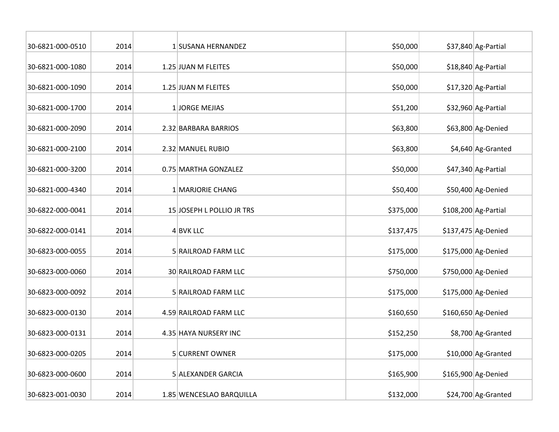| 30-6821-000-0510 | 2014 | 1 SUSANA HERNANDEZ        | \$50,000  | \$37,840 Ag-Partial   |
|------------------|------|---------------------------|-----------|-----------------------|
| 30-6821-000-1080 | 2014 | 1.25 JUAN M FLEITES       | \$50,000  | \$18,840 Ag-Partial   |
| 30-6821-000-1090 | 2014 | 1.25 JUAN M FLEITES       | \$50,000  | $$17,320$ Ag-Partial  |
| 30-6821-000-1700 | 2014 | 1 JORGE MEJIAS            | \$51,200  | \$32,960 Ag-Partial   |
| 30-6821-000-2090 | 2014 | 2.32 BARBARA BARRIOS      | \$63,800  | \$63,800 Ag-Denied    |
| 30-6821-000-2100 | 2014 | 2.32 MANUEL RUBIO         | \$63,800  | \$4,640 Ag-Granted    |
| 30-6821-000-3200 | 2014 | 0.75 MARTHA GONZALEZ      | \$50,000  | \$47,340 Ag-Partial   |
| 30-6821-000-4340 | 2014 | 1 MARJORIE CHANG          | \$50,400  | \$50,400 Ag-Denied    |
| 30-6822-000-0041 | 2014 | 15 JOSEPH L POLLIO JR TRS | \$375,000 | $$108,200$ Ag-Partial |
| 30-6822-000-0141 | 2014 | $4$ BVK LLC               | \$137,475 | $$137,475$ Ag-Denied  |
| 30-6823-000-0055 | 2014 | 5 RAILROAD FARM LLC       | \$175,000 | \$175,000 Ag-Denied   |
| 30-6823-000-0060 | 2014 | 30 RAILROAD FARM LLC      | \$750,000 | \$750,000 Ag-Denied   |
| 30-6823-000-0092 | 2014 | 5 RAILROAD FARM LLC       | \$175,000 | \$175,000 Ag-Denied   |
| 30-6823-000-0130 | 2014 | 4.59 RAILROAD FARM LLC    | \$160,650 | \$160,650 Ag-Denied   |
| 30-6823-000-0131 | 2014 | 4.35 HAYA NURSERY INC     | \$152,250 | \$8,700 Ag-Granted    |
| 30-6823-000-0205 | 2014 | 5 CURRENT OWNER           | \$175,000 | \$10,000 Ag-Granted   |
| 30-6823-000-0600 | 2014 | 5 ALEXANDER GARCIA        | \$165,900 | \$165,900 Ag-Denied   |
| 30-6823-001-0030 | 2014 | 1.85 WENCESLAO BARQUILLA  | \$132,000 | \$24,700 Ag-Granted   |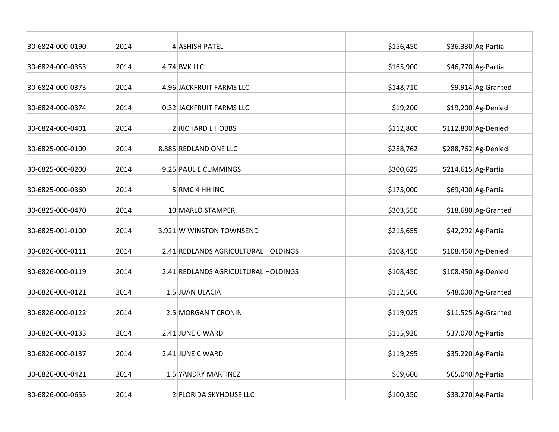| 30-6824-000-0190 | 2014 | 4 ASHISH PATEL                      | \$156,450 | \$36,330 Ag-Partial   |
|------------------|------|-------------------------------------|-----------|-----------------------|
| 30-6824-000-0353 | 2014 | 4.74 BVK LLC                        | \$165,900 | \$46,770 Ag-Partial   |
| 30-6824-000-0373 | 2014 | 4.96 JACKFRUIT FARMS LLC            | \$148,710 | \$9,914 Ag-Granted    |
| 30-6824-000-0374 | 2014 | 0.32 JACKFRUIT FARMS LLC            | \$19,200  | \$19,200 Ag-Denied    |
| 30-6824-000-0401 | 2014 | 2 RICHARD L HOBBS                   | \$112,800 | $$112,800$ Ag-Denied  |
| 30-6825-000-0100 | 2014 | 8.885 REDLAND ONE LLC               | \$288,762 | \$288,762 Ag-Denied   |
| 30-6825-000-0200 | 2014 | 9.25 PAUL E CUMMINGS                | \$300,625 | $$214,615$ Ag-Partial |
| 30-6825-000-0360 | 2014 | 5 RMC 4 HH INC                      | \$175,000 | \$69,400 Ag-Partial   |
| 30-6825-000-0470 | 2014 | 10 MARLO STAMPER                    | \$303,550 | \$18,680 Ag-Granted   |
| 30-6825-001-0100 | 2014 | 3.921 W WINSTON TOWNSEND            | \$215,655 | \$42,292 Ag-Partial   |
| 30-6826-000-0111 | 2014 | 2.41 REDLANDS AGRICULTURAL HOLDINGS | \$108,450 | \$108,450 Ag-Denied   |
| 30-6826-000-0119 | 2014 | 2.41 REDLANDS AGRICULTURAL HOLDINGS | \$108,450 | \$108,450 Ag-Denied   |
| 30-6826-000-0121 | 2014 | 1.5 JUAN ULACIA                     | \$112,500 | \$48,000 Ag-Granted   |
| 30-6826-000-0122 | 2014 | 2.5 MORGAN T CRONIN                 | \$119,025 | \$11,525 Ag-Granted   |
| 30-6826-000-0133 | 2014 | 2.41 JUNE C WARD                    | \$115,920 | \$37,070 Ag-Partial   |
| 30-6826-000-0137 | 2014 | 2.41 JUNE C WARD                    | \$119,295 | \$35,220 Ag-Partial   |
| 30-6826-000-0421 | 2014 | 1.5 YANDRY MARTINEZ                 | \$69,600  | \$65,040 Ag-Partial   |
| 30-6826-000-0655 | 2014 | 2 FLORIDA SKYHOUSE LLC              | \$100,350 | \$33,270 Ag-Partial   |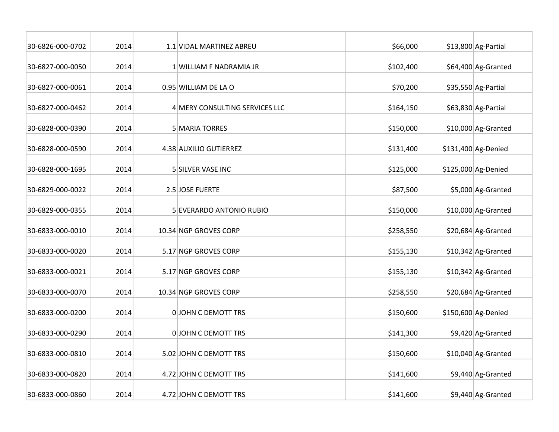| 30-6826-000-0702 | 2014 | 1.1 VIDAL MARTINEZ ABREU       | \$66,000  | \$13,800 Ag-Partial |
|------------------|------|--------------------------------|-----------|---------------------|
| 30-6827-000-0050 | 2014 | 1 WILLIAM F NADRAMIA JR        | \$102,400 | \$64,400 Ag-Granted |
| 30-6827-000-0061 | 2014 | 0.95 WILLIAM DE LA O           | \$70,200  | \$35,550 Ag-Partial |
| 30-6827-000-0462 | 2014 | 4 MERY CONSULTING SERVICES LLC | \$164,150 | \$63,830 Ag-Partial |
| 30-6828-000-0390 | 2014 | 5 MARIA TORRES                 | \$150,000 | \$10,000 Ag-Granted |
| 30-6828-000-0590 | 2014 | 4.38 AUXILIO GUTIERREZ         | \$131,400 | \$131,400 Ag-Denied |
| 30-6828-000-1695 | 2014 | 5 SILVER VASE INC              | \$125,000 | \$125,000 Ag-Denied |
| 30-6829-000-0022 | 2014 | 2.5 JOSE FUERTE                | \$87,500  | \$5,000 Ag-Granted  |
| 30-6829-000-0355 | 2014 | 5 EVERARDO ANTONIO RUBIO       | \$150,000 | \$10,000 Ag-Granted |
| 30-6833-000-0010 | 2014 | 10.34 NGP GROVES CORP          | \$258,550 | \$20,684 Ag-Granted |
| 30-6833-000-0020 | 2014 | 5.17 NGP GROVES CORP           | \$155,130 | \$10,342 Ag-Granted |
| 30-6833-000-0021 | 2014 | 5.17 NGP GROVES CORP           | \$155,130 | \$10,342 Ag-Granted |
| 30-6833-000-0070 | 2014 | 10.34 NGP GROVES CORP          | \$258,550 | \$20,684 Ag-Granted |
| 30-6833-000-0200 | 2014 | <b>OJOHN C DEMOTT TRS</b>      | \$150,600 | \$150,600 Ag-Denied |
| 30-6833-000-0290 | 2014 | <b>OJOHN C DEMOTT TRS</b>      | \$141,300 | \$9,420 Ag-Granted  |
| 30-6833-000-0810 | 2014 | 5.02 JOHN C DEMOTT TRS         | \$150,600 | \$10,040 Ag-Granted |
| 30-6833-000-0820 | 2014 | 4.72 JOHN C DEMOTT TRS         | \$141,600 | \$9,440 Ag-Granted  |
| 30-6833-000-0860 | 2014 | 4.72 JOHN C DEMOTT TRS         | \$141,600 | \$9,440 Ag-Granted  |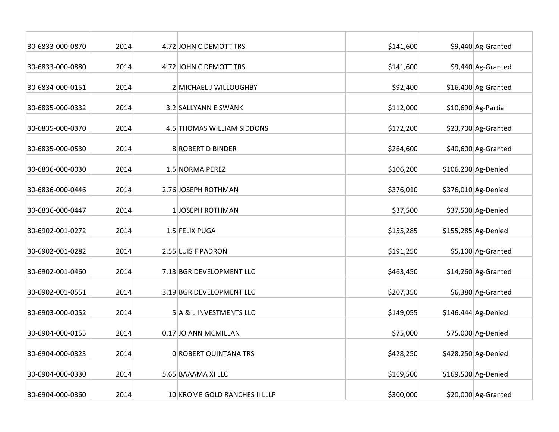| 30-6833-000-0870 | 2014 | 4.72 JOHN C DEMOTT TRS        | \$141,600 | \$9,440 Ag-Granted  |
|------------------|------|-------------------------------|-----------|---------------------|
| 30-6833-000-0880 | 2014 | 4.72 JOHN C DEMOTT TRS        | \$141,600 | \$9,440 Ag-Granted  |
| 30-6834-000-0151 | 2014 | 2 MICHAEL J WILLOUGHBY        | \$92,400  | \$16,400 Ag-Granted |
| 30-6835-000-0332 | 2014 | 3.2 SALLYANN E SWANK          | \$112,000 | \$10,690 Ag-Partial |
| 30-6835-000-0370 | 2014 | 4.5 THOMAS WILLIAM SIDDONS    | \$172,200 | \$23,700 Ag-Granted |
| 30-6835-000-0530 | 2014 | 8 ROBERT D BINDER             | \$264,600 | \$40,600 Ag-Granted |
| 30-6836-000-0030 | 2014 | 1.5 NORMA PEREZ               | \$106,200 | \$106,200 Ag-Denied |
| 30-6836-000-0446 | 2014 | 2.76 JOSEPH ROTHMAN           | \$376,010 | \$376,010 Ag-Denied |
| 30-6836-000-0447 | 2014 | 1JOSEPH ROTHMAN               | \$37,500  | \$37,500 Ag-Denied  |
| 30-6902-001-0272 | 2014 | 1.5 FELIX PUGA                | \$155,285 | \$155,285 Ag-Denied |
| 30-6902-001-0282 | 2014 | 2.55 LUIS F PADRON            | \$191,250 | \$5,100 Ag-Granted  |
| 30-6902-001-0460 | 2014 | 7.13 BGR DEVELOPMENT LLC      | \$463,450 | \$14,260 Ag-Granted |
| 30-6902-001-0551 | 2014 | 3.19 BGR DEVELOPMENT LLC      | \$207,350 | \$6,380 Ag-Granted  |
| 30-6903-000-0052 | 2014 | 5 A & L INVESTMENTS LLC       | \$149,055 | \$146,444 Ag-Denied |
| 30-6904-000-0155 | 2014 | 0.17 JO ANN MCMILLAN          | \$75,000  | \$75,000 Ag-Denied  |
| 30-6904-000-0323 | 2014 | 0 ROBERT QUINTANA TRS         | \$428,250 | \$428,250 Ag-Denied |
| 30-6904-000-0330 | 2014 | 5.65 BAAAMA XI LLC            | \$169,500 | \$169,500 Ag-Denied |
| 30-6904-000-0360 | 2014 | 10 KROME GOLD RANCHES II LLLP | \$300,000 | \$20,000 Ag-Granted |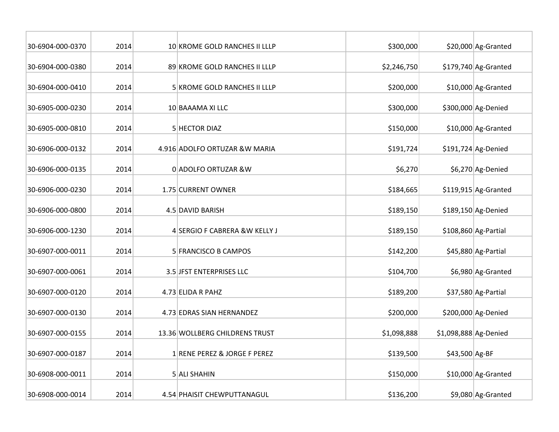| 30-6904-000-0370 | 2014 | 10 KROME GOLD RANCHES II LLLP  | \$300,000   |                       | \$20,000 Ag-Granted  |
|------------------|------|--------------------------------|-------------|-----------------------|----------------------|
| 30-6904-000-0380 | 2014 | 89 KROME GOLD RANCHES II LLLP  | \$2,246,750 |                       | \$179,740 Ag-Granted |
| 30-6904-000-0410 | 2014 | 5 KROME GOLD RANCHES II LLLP   | \$200,000   |                       | \$10,000 Ag-Granted  |
| 30-6905-000-0230 | 2014 | 10 BAAAMA XI LLC               | \$300,000   |                       | \$300,000 Ag-Denied  |
| 30-6905-000-0810 | 2014 | 5 HECTOR DIAZ                  | \$150,000   |                       | \$10,000 Ag-Granted  |
| 30-6906-000-0132 | 2014 | 4.916 ADOLFO ORTUZAR & W MARIA | \$191,724   |                       | $$191,724$ Ag-Denied |
| 30-6906-000-0135 | 2014 | 0 ADOLFO ORTUZAR &W            | \$6,270     |                       | \$6,270 Ag-Denied    |
| 30-6906-000-0230 | 2014 | 1.75 CURRENT OWNER             | \$184,665   |                       | \$119,915 Ag-Granted |
| 30-6906-000-0800 | 2014 | 4.5 DAVID BARISH               | \$189,150   |                       | \$189,150 Ag-Denied  |
| 30-6906-000-1230 | 2014 | 4 SERGIO F CABRERA & W KELLY J | \$189,150   |                       | \$108,860 Ag-Partial |
| 30-6907-000-0011 | 2014 | 5 FRANCISCO B CAMPOS           | \$142,200   |                       | \$45,880 Ag-Partial  |
| 30-6907-000-0061 | 2014 | 3.5 JFST ENTERPRISES LLC       | \$104,700   |                       | \$6,980 Ag-Granted   |
| 30-6907-000-0120 | 2014 | 4.73 ELIDA R PAHZ              | \$189,200   |                       | \$37,580 Ag-Partial  |
| 30-6907-000-0130 | 2014 | 4.73 EDRAS SIAN HERNANDEZ      | \$200,000   |                       | \$200,000 Ag-Denied  |
| 30-6907-000-0155 | 2014 | 13.36 WOLLBERG CHILDRENS TRUST | \$1,098,888 | \$1,098,888 Ag-Denied |                      |
| 30-6907-000-0187 | 2014 | 1 RENE PEREZ & JORGE F PEREZ   | \$139,500   | \$43,500 Ag-BF        |                      |
| 30-6908-000-0011 | 2014 | 5 ALI SHAHIN                   | \$150,000   |                       | \$10,000 Ag-Granted  |
| 30-6908-000-0014 | 2014 | 4.54 PHAISIT CHEWPUTTANAGUL    | \$136,200   |                       | \$9,080 Ag-Granted   |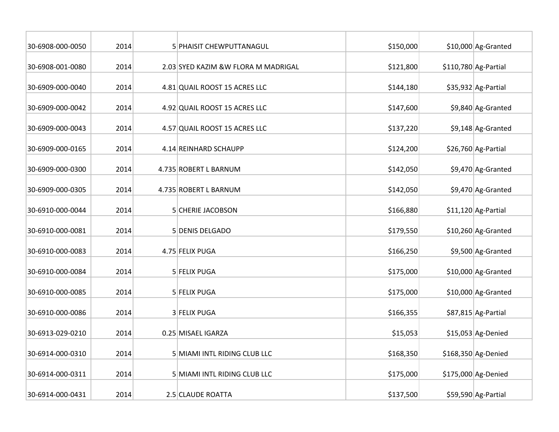| 30-6908-000-0050 | 2014 | <b>5 PHAISIT CHEWPUTTANAGUL</b>     | \$150,000 | \$10,000 Ag-Granted   |
|------------------|------|-------------------------------------|-----------|-----------------------|
| 30-6908-001-0080 | 2014 | 2.03 SYED KAZIM &W FLORA M MADRIGAL | \$121,800 | $$110,780$ Ag-Partial |
| 30-6909-000-0040 | 2014 | 4.81 QUAIL ROOST 15 ACRES LLC       | \$144,180 | $$35,932$ Ag-Partial  |
| 30-6909-000-0042 | 2014 | 4.92 QUAIL ROOST 15 ACRES LLC       | \$147,600 | \$9,840 Ag-Granted    |
| 30-6909-000-0043 | 2014 | 4.57 QUAIL ROOST 15 ACRES LLC       | \$137,220 | \$9,148 Ag-Granted    |
| 30-6909-000-0165 | 2014 | 4.14 REINHARD SCHAUPP               | \$124,200 | \$26,760 Ag-Partial   |
| 30-6909-000-0300 | 2014 | 4.735 ROBERT L BARNUM               | \$142,050 | \$9,470 Ag-Granted    |
| 30-6909-000-0305 | 2014 | 4.735 ROBERT L BARNUM               | \$142,050 | \$9,470 Ag-Granted    |
| 30-6910-000-0044 | 2014 | 5 CHERIE JACOBSON                   | \$166,880 | $$11,120$ Ag-Partial  |
| 30-6910-000-0081 | 2014 | 5 DENIS DELGADO                     | \$179,550 | \$10,260 Ag-Granted   |
| 30-6910-000-0083 | 2014 | 4.75 FELIX PUGA                     | \$166,250 | \$9,500 Ag-Granted    |
| 30-6910-000-0084 | 2014 | 5 FELIX PUGA                        | \$175,000 | \$10,000 Ag-Granted   |
| 30-6910-000-0085 | 2014 | 5 FELIX PUGA                        | \$175,000 | \$10,000 Ag-Granted   |
| 30-6910-000-0086 | 2014 | 3 FELIX PUGA                        | \$166,355 | \$87,815 Ag-Partial   |
| 30-6913-029-0210 | 2014 | 0.25 MISAEL IGARZA                  | \$15,053  | $$15,053$ Ag-Denied   |
| 30-6914-000-0310 | 2014 | 5 MIAMI INTL RIDING CLUB LLC        | \$168,350 | \$168,350 Ag-Denied   |
| 30-6914-000-0311 | 2014 | 5 MIAMI INTL RIDING CLUB LLC        | \$175,000 | \$175,000 Ag-Denied   |
| 30-6914-000-0431 | 2014 | 2.5 CLAUDE ROATTA                   | \$137,500 | \$59,590 Ag-Partial   |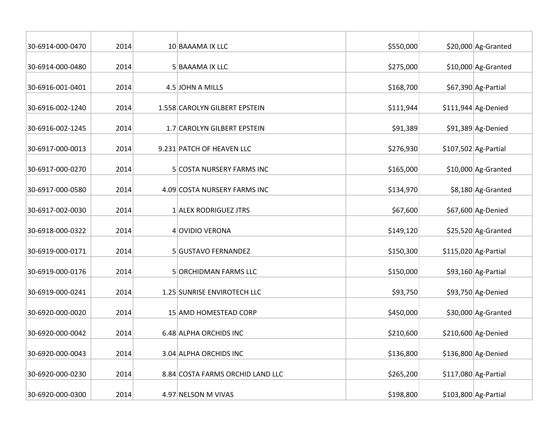| 30-6914-000-0470 | 2014 | 10 BAAAMA IX LLC                 | \$550,000 | \$20,000 Ag-Granted   |
|------------------|------|----------------------------------|-----------|-----------------------|
| 30-6914-000-0480 | 2014 | 5 BAAAMA IX LLC                  | \$275,000 | \$10,000 Ag-Granted   |
| 30-6916-001-0401 | 2014 | 4.5 JOHN A MILLS                 | \$168,700 | \$67,390 Ag-Partial   |
| 30-6916-002-1240 | 2014 | 1.558 CAROLYN GILBERT EPSTEIN    | \$111,944 | $$111,944$ Ag-Denied  |
| 30-6916-002-1245 | 2014 | 1.7 CAROLYN GILBERT EPSTEIN      | \$91,389  | \$91,389 Ag-Denied    |
| 30-6917-000-0013 | 2014 | 9.231 PATCH OF HEAVEN LLC        | \$276,930 | $$107,502$ Ag-Partial |
| 30-6917-000-0270 | 2014 | 5 COSTA NURSERY FARMS INC        | \$165,000 | \$10,000 Ag-Granted   |
| 30-6917-000-0580 | 2014 | 4.09 COSTA NURSERY FARMS INC     | \$134,970 | \$8,180 Ag-Granted    |
| 30-6917-002-0030 | 2014 | 1 ALEX RODRIGUEZ JTRS            | \$67,600  | \$67,600 Ag-Denied    |
| 30-6918-000-0322 | 2014 | 4 OVIDIO VERONA                  | \$149,120 | \$25,520 Ag-Granted   |
| 30-6919-000-0171 | 2014 | 5 GUSTAVO FERNANDEZ              | \$150,300 | $$115,020$ Ag-Partial |
| 30-6919-000-0176 | 2014 | 5 ORCHIDMAN FARMS LLC            | \$150,000 | \$93,160 Ag-Partial   |
| 30-6919-000-0241 | 2014 | 1.25 SUNRISE ENVIROTECH LLC      | \$93,750  | \$93,750 Ag-Denied    |
| 30-6920-000-0020 | 2014 | 15 AMD HOMESTEAD CORP            | \$450,000 | \$30,000 Ag-Granted   |
| 30-6920-000-0042 | 2014 | 6.48 ALPHA ORCHIDS INC           | \$210,600 | \$210,600 Ag-Denied   |
| 30-6920-000-0043 | 2014 | 3.04 ALPHA ORCHIDS INC           | \$136,800 | \$136,800 Ag-Denied   |
| 30-6920-000-0230 | 2014 | 8.84 COSTA FARMS ORCHID LAND LLC | \$265,200 | $$117,080$ Ag-Partial |
| 30-6920-000-0300 | 2014 | 4.97 NELSON M VIVAS              | \$198,800 | $$103,800$ Ag-Partial |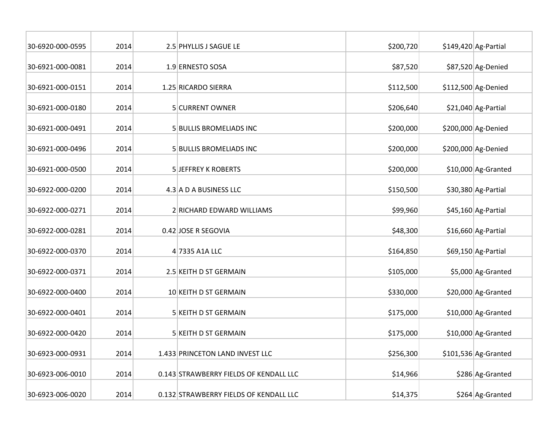| 30-6920-000-0595 | 2014 | 2.5 PHYLLIS J SAGUE LE                 | \$200,720 | $$149,420$ Ag-Partial |
|------------------|------|----------------------------------------|-----------|-----------------------|
| 30-6921-000-0081 | 2014 | 1.9 ERNESTO SOSA                       | \$87,520  | \$87,520 Ag-Denied    |
| 30-6921-000-0151 | 2014 | 1.25 RICARDO SIERRA                    | \$112,500 | \$112,500 Ag-Denied   |
| 30-6921-000-0180 | 2014 | 5 CURRENT OWNER                        | \$206,640 | $$21,040$ Ag-Partial  |
| 30-6921-000-0491 | 2014 | 5 BULLIS BROMELIADS INC                | \$200,000 | \$200,000 Ag-Denied   |
| 30-6921-000-0496 | 2014 | 5 BULLIS BROMELIADS INC                | \$200,000 | \$200,000 Ag-Denied   |
| 30-6921-000-0500 | 2014 | <b>5 JEFFREY K ROBERTS</b>             | \$200,000 | \$10,000 Ag-Granted   |
| 30-6922-000-0200 | 2014 | 4.3 A D A BUSINESS LLC                 | \$150,500 | \$30,380 Ag-Partial   |
| 30-6922-000-0271 | 2014 | 2 RICHARD EDWARD WILLIAMS              | \$99,960  | \$45,160 Ag-Partial   |
| 30-6922-000-0281 | 2014 | 0.42 JOSE R SEGOVIA                    | \$48,300  | \$16,660 Ag-Partial   |
| 30-6922-000-0370 | 2014 | 4 7335 A1A LLC                         | \$164,850 | \$69,150 Ag-Partial   |
| 30-6922-000-0371 | 2014 | 2.5 KEITH D ST GERMAIN                 | \$105,000 | \$5,000 Ag-Granted    |
| 30-6922-000-0400 | 2014 | 10 KEITH D ST GERMAIN                  | \$330,000 | \$20,000 Ag-Granted   |
| 30-6922-000-0401 | 2014 | 5 KEITH D ST GERMAIN                   | \$175,000 | \$10,000 Ag-Granted   |
| 30-6922-000-0420 | 2014 | 5 KEITH D ST GERMAIN                   | \$175,000 | \$10,000 Ag-Granted   |
| 30-6923-000-0931 | 2014 | 1.433 PRINCETON LAND INVEST LLC        | \$256,300 | $$101,536$ Ag-Granted |
| 30-6923-006-0010 | 2014 | 0.143 STRAWBERRY FIELDS OF KENDALL LLC | \$14,966  | \$286 Ag-Granted      |
| 30-6923-006-0020 | 2014 | 0.132 STRAWBERRY FIELDS OF KENDALL LLC | \$14,375  | \$264 Ag-Granted      |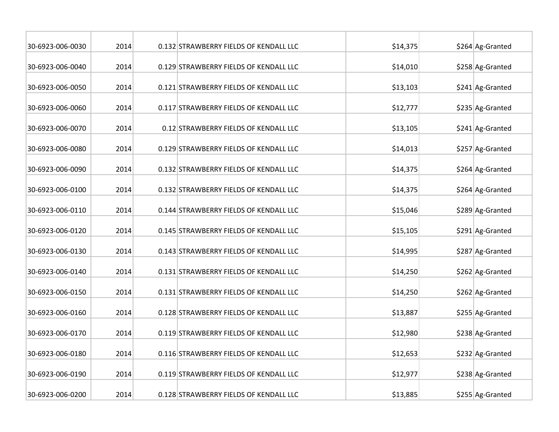| 30-6923-006-0030 | 2014 | 0.132 STRAWBERRY FIELDS OF KENDALL LLC | \$14,375 | \$264 Ag-Granted |
|------------------|------|----------------------------------------|----------|------------------|
| 30-6923-006-0040 | 2014 | 0.129 STRAWBERRY FIELDS OF KENDALL LLC | \$14,010 | \$258 Ag-Granted |
| 30-6923-006-0050 | 2014 | 0.121 STRAWBERRY FIELDS OF KENDALL LLC | \$13,103 | \$241 Ag-Granted |
| 30-6923-006-0060 | 2014 | 0.117 STRAWBERRY FIELDS OF KENDALL LLC | \$12,777 | \$235 Ag-Granted |
| 30-6923-006-0070 | 2014 | 0.12 STRAWBERRY FIELDS OF KENDALL LLC  | \$13,105 | \$241 Ag-Granted |
| 30-6923-006-0080 | 2014 | 0.129 STRAWBERRY FIELDS OF KENDALL LLC | \$14,013 | \$257 Ag-Granted |
| 30-6923-006-0090 | 2014 | 0.132 STRAWBERRY FIELDS OF KENDALL LLC | \$14,375 | \$264 Ag-Granted |
| 30-6923-006-0100 | 2014 | 0.132 STRAWBERRY FIELDS OF KENDALL LLC | \$14,375 | \$264 Ag-Granted |
| 30-6923-006-0110 | 2014 | 0.144 STRAWBERRY FIELDS OF KENDALL LLC | \$15,046 | \$289 Ag-Granted |
| 30-6923-006-0120 | 2014 | 0.145 STRAWBERRY FIELDS OF KENDALL LLC | \$15,105 | \$291 Ag-Granted |
| 30-6923-006-0130 | 2014 | 0.143 STRAWBERRY FIELDS OF KENDALL LLC | \$14,995 | \$287 Ag-Granted |
| 30-6923-006-0140 | 2014 | 0.131 STRAWBERRY FIELDS OF KENDALL LLC | \$14,250 | \$262 Ag-Granted |
| 30-6923-006-0150 | 2014 | 0.131 STRAWBERRY FIELDS OF KENDALL LLC | \$14,250 | \$262 Ag-Granted |
| 30-6923-006-0160 | 2014 | 0.128 STRAWBERRY FIELDS OF KENDALL LLC | \$13,887 | \$255 Ag-Granted |
| 30-6923-006-0170 | 2014 | 0.119 STRAWBERRY FIELDS OF KENDALL LLC | \$12,980 | \$238 Ag-Granted |
| 30-6923-006-0180 | 2014 | 0.116 STRAWBERRY FIELDS OF KENDALL LLC | \$12,653 | \$232 Ag-Granted |
| 30-6923-006-0190 | 2014 | 0.119 STRAWBERRY FIELDS OF KENDALL LLC | \$12,977 | \$238 Ag-Granted |
| 30-6923-006-0200 | 2014 | 0.128 STRAWBERRY FIELDS OF KENDALL LLC | \$13,885 | \$255 Ag-Granted |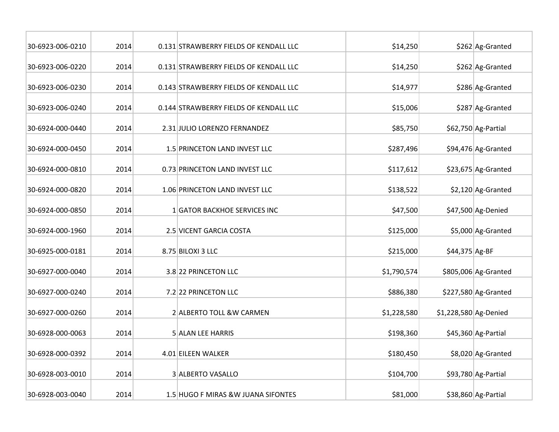| 30-6923-006-0210 | 2014 | 0.131 STRAWBERRY FIELDS OF KENDALL LLC | \$14,250    |                       | \$262 Ag-Granted      |
|------------------|------|----------------------------------------|-------------|-----------------------|-----------------------|
| 30-6923-006-0220 | 2014 | 0.131 STRAWBERRY FIELDS OF KENDALL LLC | \$14,250    |                       | \$262 Ag-Granted      |
| 30-6923-006-0230 | 2014 | 0.143 STRAWBERRY FIELDS OF KENDALL LLC | \$14,977    |                       | \$286 Ag-Granted      |
| 30-6923-006-0240 | 2014 | 0.144 STRAWBERRY FIELDS OF KENDALL LLC | \$15,006    |                       | \$287 Ag-Granted      |
| 30-6924-000-0440 | 2014 | 2.31 JULIO LORENZO FERNANDEZ           | \$85,750    |                       | \$62,750 Ag-Partial   |
| 30-6924-000-0450 | 2014 | 1.5 PRINCETON LAND INVEST LLC          | \$287,496   |                       | \$94,476 Ag-Granted   |
| 30-6924-000-0810 | 2014 | 0.73 PRINCETON LAND INVEST LLC         | \$117,612   |                       | \$23,675 Ag-Granted   |
| 30-6924-000-0820 | 2014 | 1.06 PRINCETON LAND INVEST LLC         | \$138,522   |                       | $$2,120$ Ag-Granted   |
| 30-6924-000-0850 | 2014 | 1 GATOR BACKHOE SERVICES INC           | \$47,500    |                       | \$47,500 Ag-Denied    |
| 30-6924-000-1960 | 2014 | 2.5 VICENT GARCIA COSTA                | \$125,000   |                       | \$5,000 Ag-Granted    |
| 30-6925-000-0181 | 2014 | 8.75 BILOXI 3 LLC                      | \$215,000   | \$44,375 Ag-BF        |                       |
| 30-6927-000-0040 | 2014 | 3.8 22 PRINCETON LLC                   | \$1,790,574 |                       | \$805,006 Ag-Granted  |
| 30-6927-000-0240 | 2014 | 7.2 22 PRINCETON LLC                   | \$886,380   |                       | $$227,580$ Ag-Granted |
| 30-6927-000-0260 | 2014 | 2 ALBERTO TOLL & W CARMEN              | \$1,228,580 | \$1,228,580 Ag-Denied |                       |
| 30-6928-000-0063 | 2014 | <b>5 ALAN LEE HARRIS</b>               | \$198,360   |                       | \$45,360 Ag-Partial   |
| 30-6928-000-0392 | 2014 | 4.01 EILEEN WALKER                     | \$180,450   |                       | \$8,020 Ag-Granted    |
| 30-6928-003-0010 | 2014 | 3 ALBERTO VASALLO                      | \$104,700   |                       | \$93,780 Ag-Partial   |
| 30-6928-003-0040 | 2014 | 1.5 HUGO F MIRAS &W JUANA SIFONTES     | \$81,000    |                       | \$38,860 Ag-Partial   |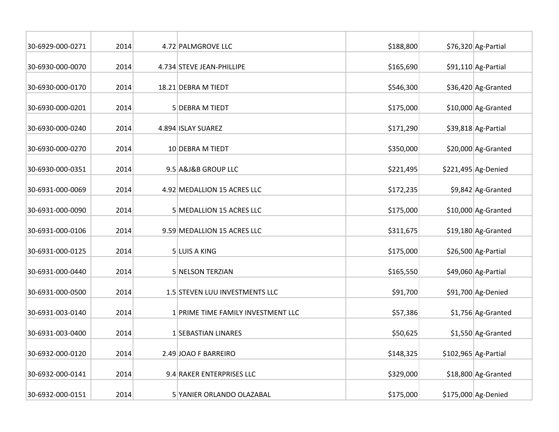| 30-6929-000-0271 | 2014 | 4.72 PALMGROVE LLC                 | \$188,800 | \$76,320 Ag-Partial   |
|------------------|------|------------------------------------|-----------|-----------------------|
| 30-6930-000-0070 | 2014 | 4.734 STEVE JEAN-PHILLIPE          | \$165,690 | \$91,110 Ag-Partial   |
| 30-6930-000-0170 | 2014 | 18.21 DEBRA M TIEDT                | \$546,300 | \$36,420 Ag-Granted   |
| 30-6930-000-0201 | 2014 | 5 DEBRA M TIEDT                    | \$175,000 | \$10,000 Ag-Granted   |
| 30-6930-000-0240 | 2014 | 4.894 ISLAY SUAREZ                 | \$171,290 | \$39,818 Ag-Partial   |
| 30-6930-000-0270 | 2014 | 10 DEBRA M TIEDT                   | \$350,000 | \$20,000 Ag-Granted   |
| 30-6930-000-0351 | 2014 | 9.5 A&J&B GROUP LLC                | \$221,495 | \$221,495 Ag-Denied   |
| 30-6931-000-0069 | 2014 | 4.92 MEDALLION 15 ACRES LLC        | \$172,235 | \$9,842 Ag-Granted    |
| 30-6931-000-0090 | 2014 | 5 MEDALLION 15 ACRES LLC           | \$175,000 | \$10,000 Ag-Granted   |
| 30-6931-000-0106 | 2014 | 9.59 MEDALLION 15 ACRES LLC        | \$311,675 | \$19,180 Ag-Granted   |
| 30-6931-000-0125 | 2014 | 5 LUIS A KING                      | \$175,000 | \$26,500 Ag-Partial   |
| 30-6931-000-0440 | 2014 | 5 NELSON TERZIAN                   | \$165,550 | \$49,060 Ag-Partial   |
| 30-6931-000-0500 | 2014 | 1.5 STEVEN LUU INVESTMENTS LLC     | \$91,700  | \$91,700 Ag-Denied    |
| 30-6931-003-0140 | 2014 | 1 PRIME TIME FAMILY INVESTMENT LLC | \$57,386  | \$1,756 Ag-Granted    |
| 30-6931-003-0400 | 2014 | 1 SEBASTIAN LINARES                | \$50,625  | \$1,550 Ag-Granted    |
| 30-6932-000-0120 | 2014 | 2.49 JOAO F BARREIRO               | \$148,325 | $$102,965$ Ag-Partial |
| 30-6932-000-0141 | 2014 | 9.4 RAKER ENTERPRISES LLC          | \$329,000 | \$18,800 Ag-Granted   |
| 30-6932-000-0151 | 2014 | 5 YANIER ORLANDO OLAZABAL          | \$175,000 | \$175,000 Ag-Denied   |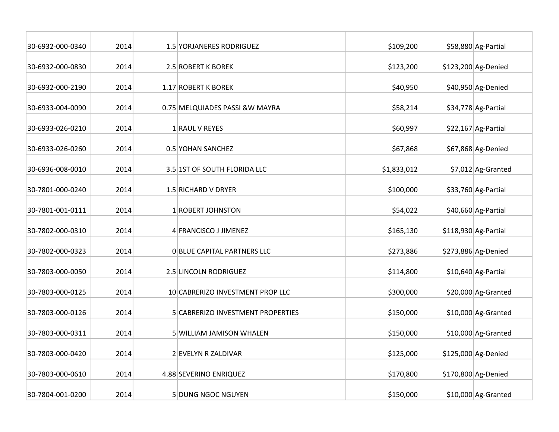| 30-6932-000-0340 | 2014 | 1.5 YORJANERES RODRIGUEZ          | \$109,200   | \$58,880 Ag-Partial   |
|------------------|------|-----------------------------------|-------------|-----------------------|
| 30-6932-000-0830 | 2014 | 2.5 ROBERT K BOREK                | \$123,200   | \$123,200 Ag-Denied   |
| 30-6932-000-2190 | 2014 | 1.17 ROBERT K BOREK               | \$40,950    | \$40,950 Ag-Denied    |
| 30-6933-004-0090 | 2014 | 0.75 MELQUIADES PASSI & W MAYRA   | \$58,214    | \$34,778 Ag-Partial   |
| 30-6933-026-0210 | 2014 | 1 RAUL V REYES                    | \$60,997    | $$22,167$ Ag-Partial  |
| 30-6933-026-0260 | 2014 | 0.5 YOHAN SANCHEZ                 | \$67,868    | \$67,868 Ag-Denied    |
| 30-6936-008-0010 | 2014 | 3.5 1ST OF SOUTH FLORIDA LLC      | \$1,833,012 | \$7,012 Ag-Granted    |
| 30-7801-000-0240 | 2014 | 1.5 RICHARD V DRYER               | \$100,000   | \$33,760 Ag-Partial   |
| 30-7801-001-0111 | 2014 | 1 ROBERT JOHNSTON                 | \$54,022    | \$40,660 Ag-Partial   |
| 30-7802-000-0310 | 2014 | 4 FRANCISCO J JIMENEZ             | \$165,130   | $$118,930$ Ag-Partial |
| 30-7802-000-0323 | 2014 | O BLUE CAPITAL PARTNERS LLC       | \$273,886   | \$273,886 Ag-Denied   |
| 30-7803-000-0050 | 2014 | 2.5 LINCOLN RODRIGUEZ             | \$114,800   | \$10,640 Ag-Partial   |
| 30-7803-000-0125 | 2014 | 10 CABRERIZO INVESTMENT PROP LLC  | \$300,000   | \$20,000 Ag-Granted   |
| 30-7803-000-0126 | 2014 | 5 CABRERIZO INVESTMENT PROPERTIES | \$150,000   | \$10,000 Ag-Granted   |
| 30-7803-000-0311 | 2014 | <b>5 WILLIAM JAMISON WHALEN</b>   | \$150,000   | \$10,000 Ag-Granted   |
| 30-7803-000-0420 | 2014 | 2 EVELYN R ZALDIVAR               | \$125,000   | $$125,000$ Ag-Denied  |
| 30-7803-000-0610 | 2014 | 4.88 SEVERINO ENRIQUEZ            | \$170,800   | $$170,800$ Ag-Denied  |
| 30-7804-001-0200 | 2014 | 5 DUNG NGOC NGUYEN                | \$150,000   | $$10,000$ Ag-Granted  |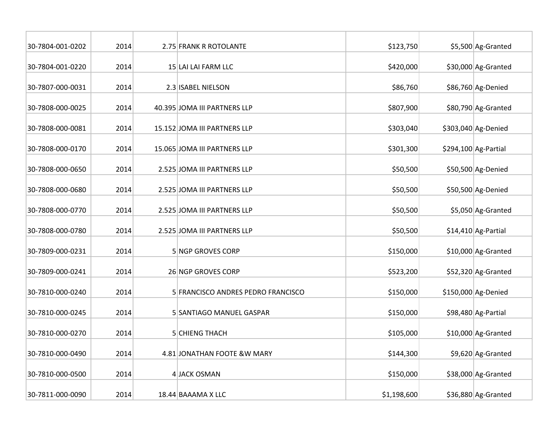| 30-7804-001-0202 | 2014 | 2.75 FRANK R ROTOLANTE             | \$123,750   | \$5,500 Ag-Granted   |
|------------------|------|------------------------------------|-------------|----------------------|
| 30-7804-001-0220 | 2014 | 15 LAI LAI FARM LLC                | \$420,000   | \$30,000 Ag-Granted  |
| 30-7807-000-0031 | 2014 | 2.3 ISABEL NIELSON                 | \$86,760    | \$86,760 Ag-Denied   |
| 30-7808-000-0025 | 2014 | 40.395 JOMA III PARTNERS LLP       | \$807,900   | \$80,790 Ag-Granted  |
| 30-7808-000-0081 | 2014 | 15.152 JOMA III PARTNERS LLP       | \$303,040   | \$303,040 Ag-Denied  |
| 30-7808-000-0170 | 2014 | 15.065 JOMA III PARTNERS LLP       | \$301,300   | \$294,100 Ag-Partial |
| 30-7808-000-0650 | 2014 | 2.525 JOMA III PARTNERS LLP        | \$50,500    | \$50,500 Ag-Denied   |
| 30-7808-000-0680 | 2014 | 2.525 JOMA III PARTNERS LLP        | \$50,500    | \$50,500 Ag-Denied   |
| 30-7808-000-0770 | 2014 | 2.525 JOMA III PARTNERS LLP        | \$50,500    | \$5,050 Ag-Granted   |
| 30-7808-000-0780 | 2014 | 2.525 JOMA III PARTNERS LLP        | \$50,500    | \$14,410 Ag-Partial  |
| 30-7809-000-0231 | 2014 | 5 NGP GROVES CORP                  | \$150,000   | \$10,000 Ag-Granted  |
| 30-7809-000-0241 | 2014 | 26 NGP GROVES CORP                 | \$523,200   | \$52,320 Ag-Granted  |
| 30-7810-000-0240 | 2014 | 5 FRANCISCO ANDRES PEDRO FRANCISCO | \$150,000   | \$150,000 Ag-Denied  |
| 30-7810-000-0245 | 2014 | 5 SANTIAGO MANUEL GASPAR           | \$150,000   | \$98,480 Ag-Partial  |
| 30-7810-000-0270 | 2014 | <b>5 CHIENG THACH</b>              | \$105,000   | \$10,000 Ag-Granted  |
| 30-7810-000-0490 | 2014 | 4.81 JONATHAN FOOTE &W MARY        | \$144,300   | \$9,620 Ag-Granted   |
| 30-7810-000-0500 | 2014 | 4 JACK OSMAN                       | \$150,000   | \$38,000 Ag-Granted  |
| 30-7811-000-0090 | 2014 | 18.44 BAAAMA X LLC                 | \$1,198,600 | \$36,880 Ag-Granted  |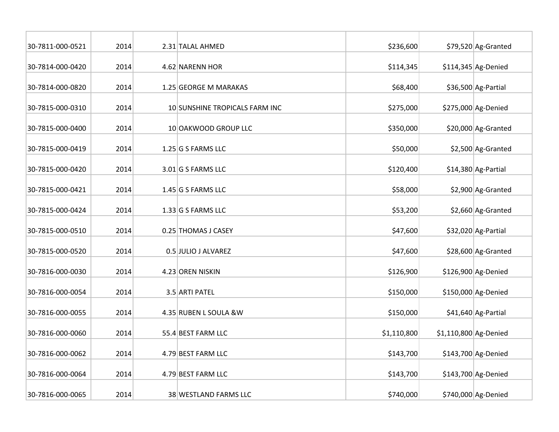| 30-7811-000-0521 | 2014 | 2.31 TALAL AHMED               | \$236,600   |                       | $$79,520$ Ag-Granted |
|------------------|------|--------------------------------|-------------|-----------------------|----------------------|
| 30-7814-000-0420 | 2014 | 4.62 NARENN HOR                | \$114,345   |                       | \$114,345 Ag-Denied  |
| 30-7814-000-0820 | 2014 | 1.25 GEORGE M MARAKAS          | \$68,400    |                       | \$36,500 Ag-Partial  |
| 30-7815-000-0310 | 2014 | 10 SUNSHINE TROPICALS FARM INC | \$275,000   |                       | \$275,000 Ag-Denied  |
| 30-7815-000-0400 | 2014 | 10 OAKWOOD GROUP LLC           | \$350,000   |                       | \$20,000 Ag-Granted  |
| 30-7815-000-0419 | 2014 | $1.25$ G S FARMS LLC           | \$50,000    |                       | \$2,500 Ag-Granted   |
| 30-7815-000-0420 | 2014 | $3.01$ G S FARMS LLC           | \$120,400   |                       | \$14,380 Ag-Partial  |
| 30-7815-000-0421 | 2014 | $1.45$ G S FARMS LLC           | \$58,000    |                       | \$2,900 Ag-Granted   |
| 30-7815-000-0424 | 2014 | $1.33$ G S FARMS LLC           | \$53,200    |                       | \$2,660 Ag-Granted   |
| 30-7815-000-0510 | 2014 | 0.25 THOMAS J CASEY            | \$47,600    |                       | \$32,020 Ag-Partial  |
| 30-7815-000-0520 | 2014 | 0.5 JULIO J ALVAREZ            | \$47,600    |                       | \$28,600 Ag-Granted  |
| 30-7816-000-0030 | 2014 | 4.23 OREN NISKIN               | \$126,900   |                       | \$126,900 Ag-Denied  |
| 30-7816-000-0054 | 2014 | 3.5 ARTI PATEL                 | \$150,000   |                       | \$150,000 Ag-Denied  |
| 30-7816-000-0055 | 2014 | 4.35 RUBEN L SOULA &W          | \$150,000   |                       | \$41,640 Ag-Partial  |
| 30-7816-000-0060 | 2014 | 55.4 BEST FARM LLC             | \$1,110,800 | \$1,110,800 Ag-Denied |                      |
| 30-7816-000-0062 | 2014 | 4.79 BEST FARM LLC             | \$143,700   |                       | \$143,700 Ag-Denied  |
| 30-7816-000-0064 | 2014 | 4.79 BEST FARM LLC             | \$143,700   |                       | \$143,700 Ag-Denied  |
| 30-7816-000-0065 | 2014 | 38 WESTLAND FARMS LLC          | \$740,000   |                       | \$740,000 Ag-Denied  |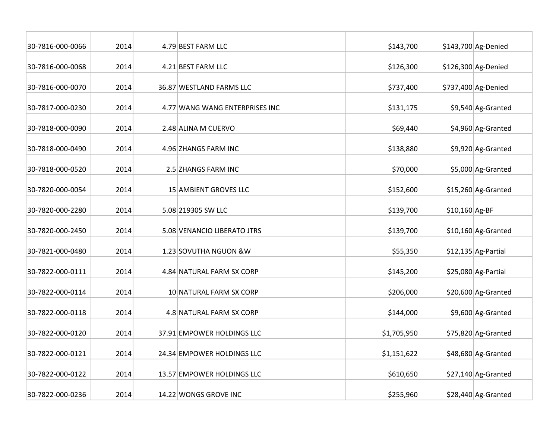| 30-7816-000-0066 | 2014 | 4.79 BEST FARM LLC             | \$143,700   |                 | \$143,700 Ag-Denied  |
|------------------|------|--------------------------------|-------------|-----------------|----------------------|
| 30-7816-000-0068 | 2014 | 4.21 BEST FARM LLC             | \$126,300   |                 | \$126,300 Ag-Denied  |
| 30-7816-000-0070 | 2014 | 36.87 WESTLAND FARMS LLC       | \$737,400   |                 | \$737,400 Ag-Denied  |
| 30-7817-000-0230 | 2014 | 4.77 WANG WANG ENTERPRISES INC | \$131,175   |                 | \$9,540 Ag-Granted   |
| 30-7818-000-0090 | 2014 | 2.48 ALINA M CUERVO            | \$69,440    |                 | \$4,960 Ag-Granted   |
| 30-7818-000-0490 | 2014 | 4.96 ZHANGS FARM INC           | \$138,880   |                 | \$9,920 Ag-Granted   |
| 30-7818-000-0520 | 2014 | 2.5 ZHANGS FARM INC            | \$70,000    |                 | \$5,000 Ag-Granted   |
| 30-7820-000-0054 | 2014 | 15 AMBIENT GROVES LLC          | \$152,600   |                 | \$15,260 Ag-Granted  |
| 30-7820-000-2280 | 2014 | 5.08 219305 SW LLC             | \$139,700   | $$10,160$ Ag-BF |                      |
| 30-7820-000-2450 | 2014 | 5.08 VENANCIO LIBERATO JTRS    | \$139,700   |                 | \$10,160 Ag-Granted  |
| 30-7821-000-0480 | 2014 | 1.23 SOVUTHA NGUON & W         | \$55,350    |                 | $$12,135$ Ag-Partial |
| 30-7822-000-0111 | 2014 | 4.84 NATURAL FARM SX CORP      | \$145,200   |                 | \$25,080 Ag-Partial  |
| 30-7822-000-0114 | 2014 | 10 NATURAL FARM SX CORP        | \$206,000   |                 | \$20,600 Ag-Granted  |
| 30-7822-000-0118 | 2014 | 4.8 NATURAL FARM SX CORP       | \$144,000   |                 | \$9,600 Ag-Granted   |
| 30-7822-000-0120 | 2014 | 37.91 EMPOWER HOLDINGS LLC     | \$1,705,950 |                 | \$75,820 Ag-Granted  |
| 30-7822-000-0121 | 2014 | 24.34 EMPOWER HOLDINGS LLC     | \$1,151,622 |                 | \$48,680 Ag-Granted  |
| 30-7822-000-0122 | 2014 | 13.57 EMPOWER HOLDINGS LLC     | \$610,650   |                 | $$27,140$ Ag-Granted |
| 30-7822-000-0236 | 2014 | 14.22 WONGS GROVE INC          | \$255,960   |                 | \$28,440 Ag-Granted  |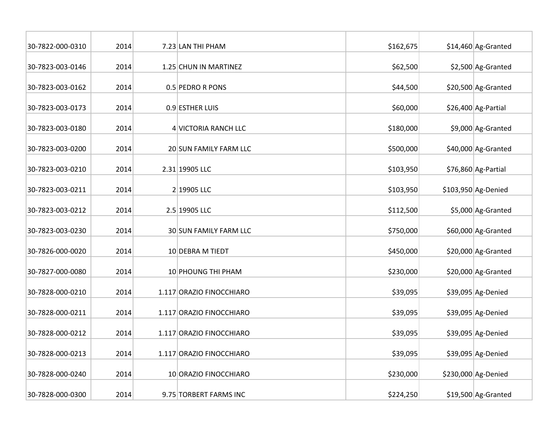| 30-7822-000-0310 | 2014 | 7.23 LAN THI PHAM        | \$162,675 | \$14,460 Ag-Granted |
|------------------|------|--------------------------|-----------|---------------------|
| 30-7823-003-0146 | 2014 | 1.25 CHUN IN MARTINEZ    | \$62,500  | \$2,500 Ag-Granted  |
| 30-7823-003-0162 | 2014 | 0.5 PEDRO R PONS         | \$44,500  | \$20,500 Ag-Granted |
| 30-7823-003-0173 | 2014 | 0.9 ESTHER LUIS          | \$60,000  | \$26,400 Ag-Partial |
| 30-7823-003-0180 | 2014 | 4 VICTORIA RANCH LLC     | \$180,000 | \$9,000 Ag-Granted  |
| 30-7823-003-0200 | 2014 | 20 SUN FAMILY FARM LLC   | \$500,000 | \$40,000 Ag-Granted |
| 30-7823-003-0210 | 2014 | 2.31 19905 LLC           | \$103,950 | \$76,860 Ag-Partial |
| 30-7823-003-0211 | 2014 | 2 19905 LLC              | \$103,950 | \$103,950 Ag-Denied |
| 30-7823-003-0212 | 2014 | 2.5 19905 LLC            | \$112,500 | \$5,000 Ag-Granted  |
| 30-7823-003-0230 | 2014 | 30 SUN FAMILY FARM LLC   | \$750,000 | \$60,000 Ag-Granted |
| 30-7826-000-0020 | 2014 | 10 DEBRA M TIEDT         | \$450,000 | \$20,000 Ag-Granted |
| 30-7827-000-0080 | 2014 | 10 PHOUNG THI PHAM       | \$230,000 | \$20,000 Ag-Granted |
| 30-7828-000-0210 | 2014 | 1.117 ORAZIO FINOCCHIARO | \$39,095  | \$39,095 Ag-Denied  |
| 30-7828-000-0211 | 2014 | 1.117 ORAZIO FINOCCHIARO | \$39,095  | \$39,095 Ag-Denied  |
| 30-7828-000-0212 | 2014 | 1.117 ORAZIO FINOCCHIARO | \$39,095  | \$39,095 Ag-Denied  |
| 30-7828-000-0213 | 2014 | 1.117 ORAZIO FINOCCHIARO | \$39,095  | \$39,095 Ag-Denied  |
| 30-7828-000-0240 | 2014 | 10 ORAZIO FINOCCHIARO    | \$230,000 | \$230,000 Ag-Denied |
| 30-7828-000-0300 | 2014 | 9.75 TORBERT FARMS INC   | \$224,250 | \$19,500 Ag-Granted |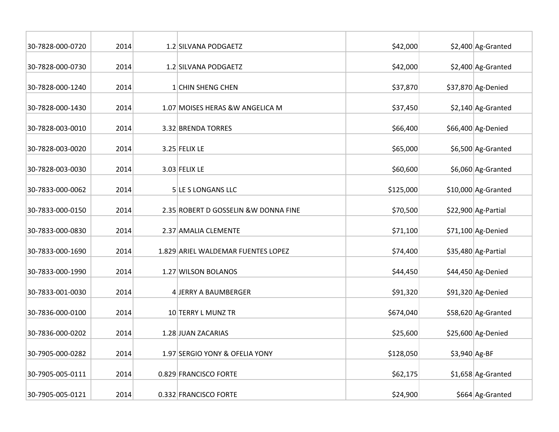| 30-7828-000-0720 | 2014 | 1.2 SILVANA PODGAETZ                  | \$42,000  |                | \$2,400 Ag-Granted  |
|------------------|------|---------------------------------------|-----------|----------------|---------------------|
| 30-7828-000-0730 | 2014 | 1.2 SILVANA PODGAETZ                  | \$42,000  |                | \$2,400 Ag-Granted  |
| 30-7828-000-1240 | 2014 | 1 CHIN SHENG CHEN                     | \$37,870  |                | \$37,870 Ag-Denied  |
| 30-7828-000-1430 | 2014 | 1.07 MOISES HERAS & W ANGELICA M      | \$37,450  |                | \$2,140 Ag-Granted  |
| 30-7828-003-0010 | 2014 | 3.32 BRENDA TORRES                    | \$66,400  |                | \$66,400 Ag-Denied  |
| 30-7828-003-0020 | 2014 | 3.25 FELIX LE                         | \$65,000  |                | \$6,500 Ag-Granted  |
| 30-7828-003-0030 | 2014 | $3.03$ FELIX LE                       | \$60,600  |                | \$6,060 Ag-Granted  |
| 30-7833-000-0062 | 2014 | 5 LE S LONGANS LLC                    | \$125,000 |                | \$10,000 Ag-Granted |
| 30-7833-000-0150 | 2014 | 2.35 ROBERT D GOSSELIN & W DONNA FINE | \$70,500  |                | \$22,900 Ag-Partial |
| 30-7833-000-0830 | 2014 | 2.37 AMALIA CLEMENTE                  | \$71,100  |                | $$71,100$ Ag-Denied |
| 30-7833-000-1690 | 2014 | 1.829 ARIEL WALDEMAR FUENTES LOPEZ    | \$74,400  |                | \$35,480 Ag-Partial |
| 30-7833-000-1990 | 2014 | 1.27 WILSON BOLANOS                   | \$44,450  |                | \$44,450 Ag-Denied  |
| 30-7833-001-0030 | 2014 | 4 JERRY A BAUMBERGER                  | \$91,320  |                | \$91,320 Ag-Denied  |
| 30-7836-000-0100 | 2014 | 10 TERRY L MUNZ TR                    | \$674,040 |                | \$58,620 Ag-Granted |
| 30-7836-000-0202 | 2014 | 1.28 JUAN ZACARIAS                    | \$25,600  |                | \$25,600 Ag-Denied  |
| 30-7905-000-0282 | 2014 | 1.97 SERGIO YONY & OFELIA YONY        | \$128,050 | $$3,940$ Ag-BF |                     |
| 30-7905-005-0111 | 2014 | 0.829 FRANCISCO FORTE                 | \$62,175  |                | \$1,658 Ag-Granted  |
| 30-7905-005-0121 | 2014 | 0.332 FRANCISCO FORTE                 | \$24,900  |                | \$664 Ag-Granted    |